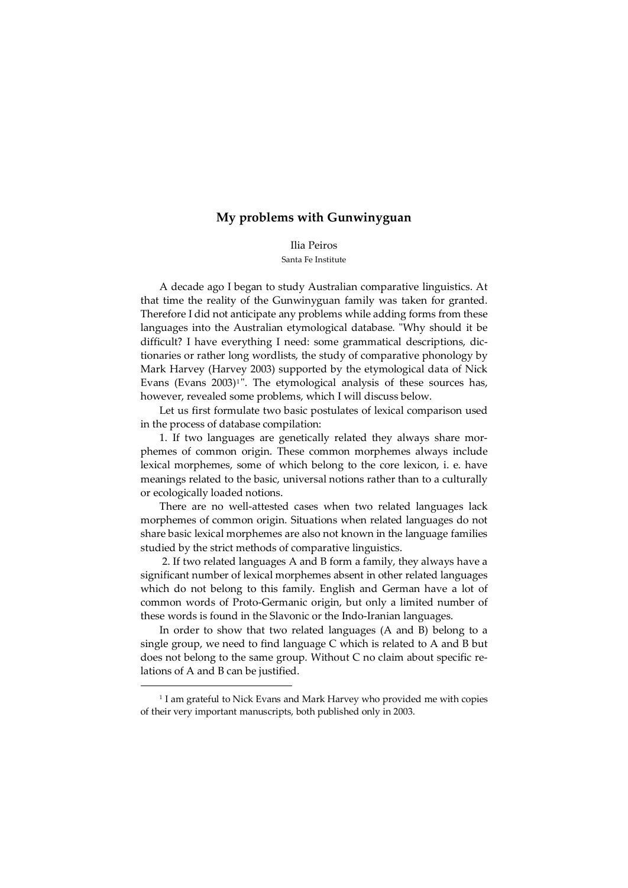# **My problems with Gunwinyguan**

Ilia Peiros Santa Fe Institute

A decade ago I began to study Australian comparative linguistics. At that time the reality of the Gunwinyguan family was taken for granted. Therefore I did not anticipate any problems while adding forms from these languages into the Australian etymological database. "Why should it be difficult? I have everything I need: some grammatical descriptions, dictionaries or rather long wordlists, the study of comparative phonology by Mark Harvey (Harvey 2003) supported by the etymological data of Nick Evans (Evans  $2003$ )<sup>1</sup>". The etymological analysis of these sources has, however, revealed some problems, which I will discuss below.

Let us first formulate two basic postulates of lexical comparison used in the process of database compilation:

1. If two languages are genetically related they always share morphemes of common origin. These common morphemes always include lexical morphemes, some of which belong to the core lexicon, i. e. have meanings related to the basic, universal notions rather than to a culturally or ecologically loaded notions.

There are no well-attested cases when two related languages lack morphemes of common origin. Situations when related languages do not share basic lexical morphemes are also not known in the language families studied by the strict methods of comparative linguistics.

2. If two related languages A and B form a family, they always have a significant number of lexical morphemes absent in other related languages which do not belong to this family. English and German have a lot of common words of Proto-Germanic origin, but only a limited number of these words is found in the Slavonic or the Indo-Iranian languages.

In order to show that two related languages (A and B) belong to a single group, we need to find language C which is related to A and B but does not belong to the same group. Without C no claim about specific relations of A and B can be justified.

 $\overline{a}$ 

<sup>&</sup>lt;sup>1</sup> I am grateful to Nick Evans and Mark Harvey who provided me with copies of their very important manuscripts, both published only in 2003.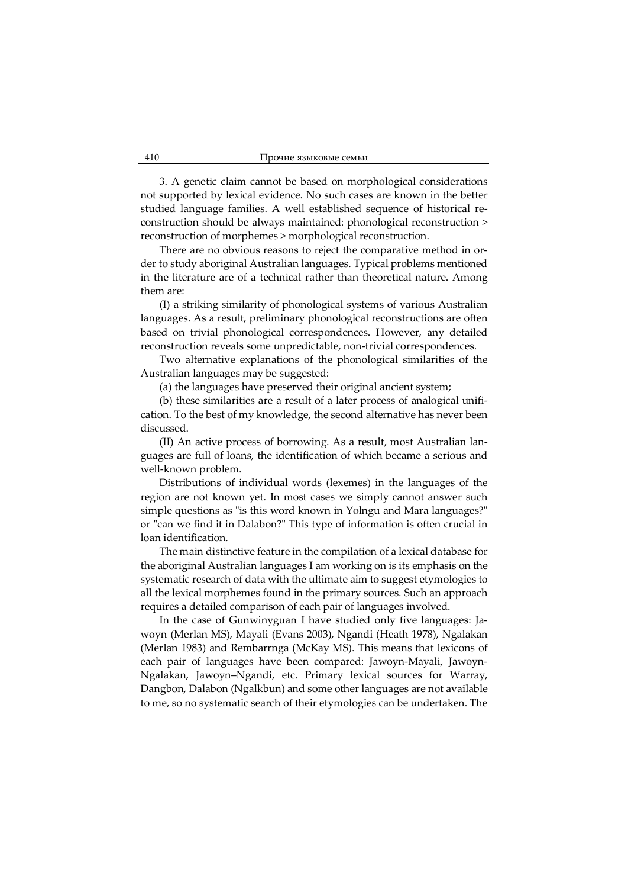3. A genetic claim cannot be based on morphological considerations not supported by lexical evidence. No such cases are known in the better studied language families. A well established sequence of historical reconstruction should be always maintained: phonological reconstruction > reconstruction of morphemes > morphological reconstruction.

There are no obvious reasons to reject the comparative method in order to study aboriginal Australian languages. Typical problems mentioned in the literature are of a technical rather than theoretical nature. Among them are:

(I) a striking similarity of phonological systems of various Australian languages. As a result, preliminary phonological reconstructions are often based on trivial phonological correspondences. However, any detailed reconstruction reveals some unpredictable, non-trivial correspondences.

Two alternative explanations of the phonological similarities of the Australian languages may be suggested:

(a) the languages have preserved their original ancient system;

(b) these similarities are a result of a later process of analogical unification. To the best of my knowledge, the second alternative has never been discussed.

(II) An active process of borrowing. As a result, most Australian languages are full of loans, the identification of which became a serious and well-known problem.

Distributions of individual words (lexemes) in the languages of the region are not known yet. In most cases we simply cannot answer such simple questions as "is this word known in Yolngu and Mara languages?" or "can we find it in Dalabon?" This type of information is often crucial in loan identification.

The main distinctive feature in the compilation of a lexical database for the aboriginal Australian languages I am working on is its emphasis on the systematic research of data with the ultimate aim to suggest etymologies to all the lexical morphemes found in the primary sources. Such an approach requires a detailed comparison of each pair of languages involved.

In the case of Gunwinyguan I have studied only five languages: Jawoyn (Merlan MS), Mayali (Evans 2003), Ngandi (Heath 1978), Ngalakan (Merlan 1983) and Rembarrnga (McKay MS). This means that lexicons of each pair of languages have been compared: Jawoyn-Mayali, Jawoyn-Ngalakan, Jawoyn–Ngandi, etc. Primary lexical sources for Warray, Dangbon, Dalabon (Ngalkbun) and some other languages are not available to me, so no systematic search of their etymologies can be undertaken. The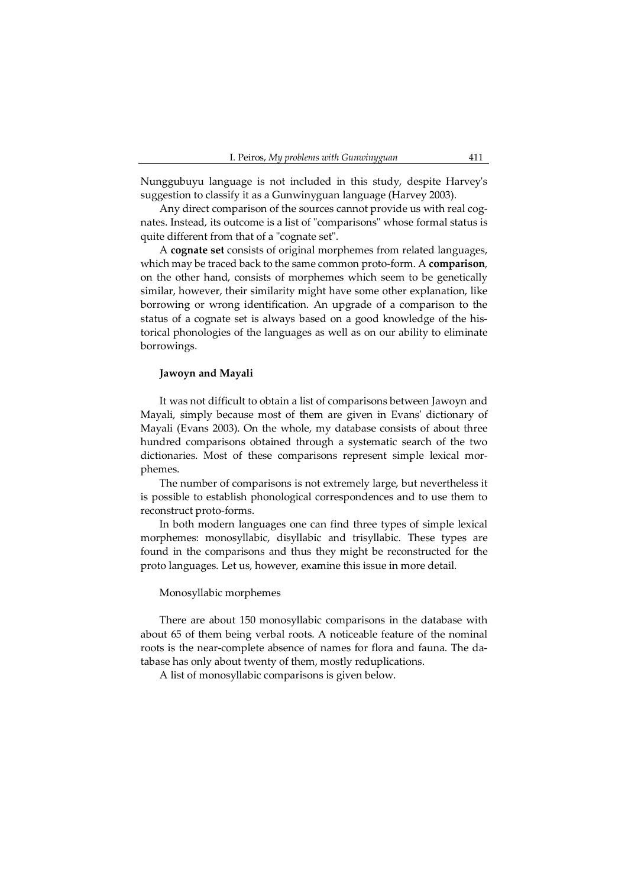Nunggubuyu language is not included in this study, despite Harvey's suggestion to classify it as a Gunwinyguan language (Harvey 2003).

Any direct comparison of the sources cannot provide us with real cognates. Instead, its outcome is a list of "comparisons" whose formal status is quite different from that of a "cognate set".

A **cognate set** consists of original morphemes from related languages, which may be traced back to the same common proto-form. A **comparison**, on the other hand, consists of morphemes which seem to be genetically similar, however, their similarity might have some other explanation, like borrowing or wrong identification. An upgrade of a comparison to the status of a cognate set is always based on a good knowledge of the historical phonologies of the languages as well as on our ability to eliminate borrowings.

#### **Jawoyn and Mayali**

It was not difficult to obtain a list of comparisons between Jawoyn and Mayali, simply because most of them are given in Evans' dictionary of Mayali (Evans 2003). On the whole, my database consists of about three hundred comparisons obtained through a systematic search of the two dictionaries. Most of these comparisons represent simple lexical morphemes.

The number of comparisons is not extremely large, but nevertheless it is possible to establish phonological correspondences and to use them to reconstruct proto-forms.

In both modern languages one can find three types of simple lexical morphemes: monosyllabic, disyllabic and trisyllabic. These types are found in the comparisons and thus they might be reconstructed for the proto languages. Let us, however, examine this issue in more detail.

#### Monosyllabic morphemes

There are about 150 monosyllabic comparisons in the database with about 65 of them being verbal roots. A noticeable feature of the nominal roots is the near-complete absence of names for flora and fauna. The database has only about twenty of them, mostly reduplications.

A list of monosyllabic comparisons is given below.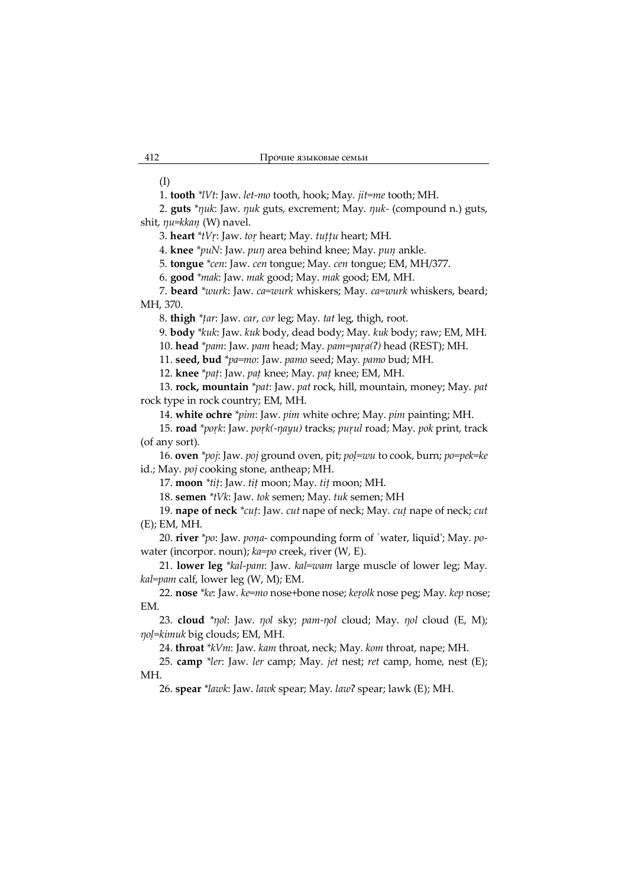1. **tooth** *\*lVt*: Jaw. *let-mo* tooth, hook; May. *jit=me* tooth; MH.

2. **guts** *\*ŋuk*: Jaw. *ŋuk* guts, excrement; May. *ŋuk-* (compound n.) guts, shit, *ŋu=kkan* (W) navel.

3. **heart** *\*tVr*: Jaw. *tor* heart; May. *tuttu* heart; MH.

4. **knee** *\*puN*: Jaw. *puŋ* area behind knee; May. *pun* ankle.

5. **tongue** *\*cen*: Jaw. *cen* tongue; May. *cen* tongue; EM, MH/377.

6. **good** *\*mak*: Jaw. *mak* good; May. *mak* good; EM, MH.

7. **beard** *\*wurk*: Jaw. *ca=wurk* whiskers; May. *ca=wurk* whiskers, beard; MH, 370.

8. **thigh** *\*tar*: Jaw. *car*, *cor* leg; May. *tat* leg, thigh, root.

9. **body** *\*kuk*: Jaw. *kuk* body, dead body; May. *kuk* body; raw; EM, MH.

10. **head** *\*pam*: Jaw. *pam* head; May. *pam=para(ʔ)* head (REST); MH.

11. **seed, bud** *\*pa=mo*: Jaw. *pamo* seed; May. *pamo* bud; MH.

12. **knee** *\*pat*: Jaw. *pat* knee; May. *pat* knee; EM, MH.

13. **rock, mountain** *\*pat*: Jaw. *pat* rock, hill, mountain, money; May. *pat* rock type in rock country; EM, MH.

14. **white ochre** *\*pim*: Jaw. *pim* white ochre; May. *pim* painting; MH.

15. **road** *\*pork*: Jaw. *pork(-ŋayu)* tracks; *purul* road; May. *pok* print, track (of any sort).

16. **oven** *\*poj*: Jaw. *poj* ground oven, pit; *pol=wu* to cook, burn; *po=pek=ke* id.; May. *poj* cooking stone, antheap; MH.

17. **moon** *\*tit*: Jaw. *tit* moon; May. *tit* moon; MH.

18. **semen** *\*tVk*: Jaw. *tok* semen; May. *tuk* semen; MH

19. **nape of neck** *\*cut*: Jaw. *cut* nape of neck; May. *cut* nape of neck; *cut* (E); EM, MH.

20. **river** *\*po*: Jaw. *pona*-compounding form of 'water, liquid'; May. *po*water (incorpor. noun); *ka=po* creek, river (W, E).

21. **lower leg** *\*kal-pam*: Jaw. *kal=wam* large muscle of lower leg; May. *kal=pam* calf, lower leg (W, M); EM.

22. **nose** *\*ke*: Jaw. *ke=mo* nose+bone nose; *kerolk* nose peg; May. *kep* nose; EM.

23. **cloud** *\*ŋol*: Jaw. *ŋol* sky; *pam-ŋol* cloud; May. *ŋol* cloud (E, M); *ŋol=kimuk* big clouds; EM, MH.

24. **throat** *\*kVm*: Jaw. *kam* throat, neck; May. *kom* throat, nape; MH.

25. **camp** *\*ler*: Jaw. *ler* camp; May. *jet* nest; *ret* camp, home, nest (E); MH.

26. **spear** *\*lawk*: Jaw. *lawk* spear; May. *lawʔ* spear; lawk (E); MH.

<sup>(</sup>I)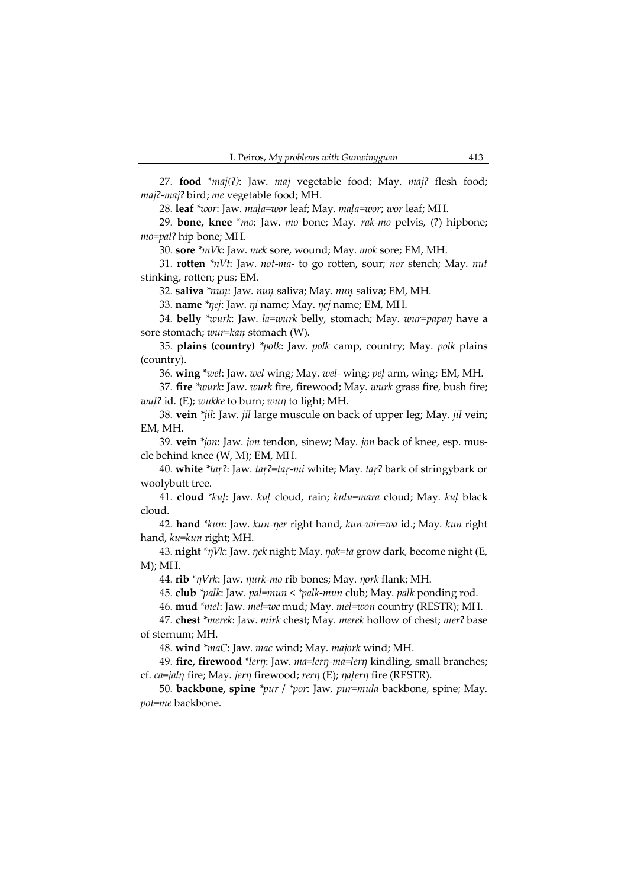27. **food** *\*maj(ʔ)*: Jaw. *maj* vegetable food; May. *majʔ* flesh food; *majʔ-majʔ* bird; *me* vegetable food; MH.

28. **leaf** *\*wor*: Jaw. *mala=wor* leaf; May. *mala=wor*; *wor* leaf; MH.

29. **bone, knee** *\*mo*: Jaw. *mo* bone; May. *rak-mo* pelvis, (?) hipbone; *mo=palʔ* hip bone; MH.

30. **sore** *\*mVk*: Jaw. *mek* sore, wound; May. *mok* sore; EM, MH.

31. **rotten** *\*nVt*: Jaw. *not-ma-* to go rotten, sour; *nor* stench; May. *nut* stinking, rotten; pus; EM.

32. **saliva** *\*nun*: Jaw. *nun* saliva; May. *nun* saliva; EM, MH.

33. **name** *\*ŋej*: Jaw. *ŋi* name; May. *ŋej* name; EM, MH.

34. **belly** *\*wurk*: Jaw. *la=wurk* belly, stomach; May. *wur=papaŋ* have a sore stomach; *wur=kan* stomach (W).

35. **plains (country)** *\*polk*: Jaw. *polk* camp, country; May. *polk* plains (country).

36. **wing** *\*wel*: Jaw. *wel* wing; May. *wel-* wing; *pel* arm, wing; EM, MH.

37. **fire** *\*wurk*: Jaw. *wurk* fire, firewood; May. *wurk* grass fire, bush fire; *wulʔ* id. (E); *wukke* to burn; *wuŋ* to light; MH.

38. **vein** *\*jil*: Jaw. *jil* large muscule on back of upper leg; May. *jil* vein; EM, MH.

39. **vein** *\*jon*: Jaw. *jon* tendon, sinew; May. *jon* back of knee, esp. muscle behind knee (W, M); EM, MH.

40. **white** *\*tarʔ*: Jaw. *tarʔ=tar-mi* white; May. *tarʔ* bark of stringybark or woolybutt tree.

41. **cloud** *\*kul*: Jaw. *kul* cloud, rain; *kulu=mara* cloud; May. *kul* black cloud.

42. **hand** *\*kun*: Jaw. *kun-ŋer* right hand, *kun-wir=wa* id.; May. *kun* right hand, *ku=kun* right; MH.

43. **night** *\*ŋVk*: Jaw. *ŋek* night; May. *ŋok=ta* grow dark, become night (E, M); MH.

44. **rib** *\*ŋVrk*: Jaw. *ŋurk-mo* rib bones; May. *ŋork* flank; MH.

45. **club** *\*palk*: Jaw. *pal=mun* < *\*palk-mun* club; May. *palk* ponding rod.

46. **mud** *\*mel*: Jaw. *mel=we* mud; May. *mel=won* country (RESTR); MH.

47. **chest** *\*merek*: Jaw. *mirk* chest; May. *merek* hollow of chest; *merʔ* base of sternum; MH.

48. **wind** *\*maC*: Jaw. *mac* wind; May. *majork* wind; MH.

49. **fire, firewood** *\*lerŋ*: Jaw. *ma=lerŋ-ma=lerŋ* kindling, small branches; cf. *ca=jalŋ* fire; May. *jerŋ* firewood; *rerŋ* (E); *ŋalerŋ* fire (RESTR).

50. **backbone, spine** *\*pur* / *\*por*: Jaw. *pur=mula* backbone, spine; May. *pot=me* backbone.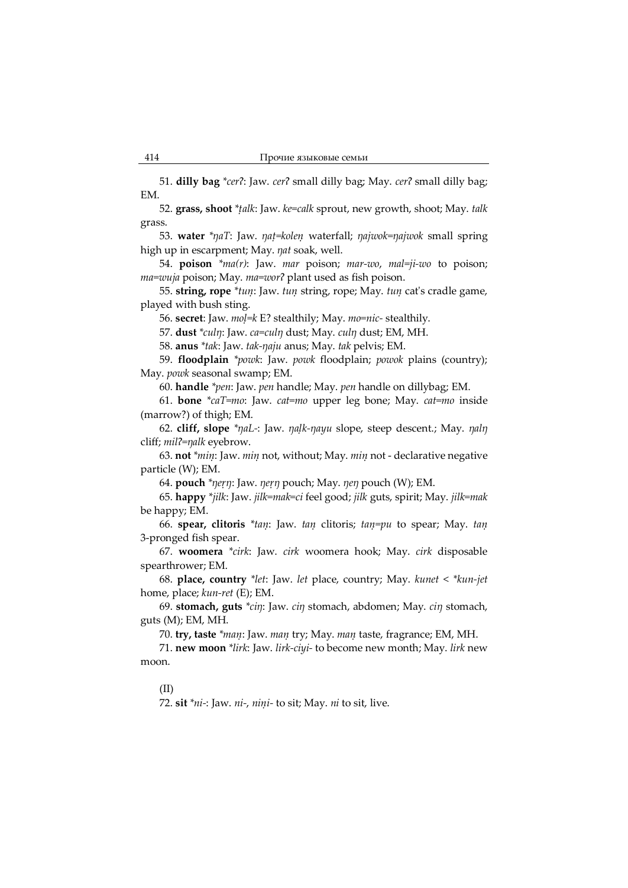51. **dilly bag** *\*cerʔ*: Jaw. *cerʔ* small dilly bag; May. *cerʔ* small dilly bag; EM.

52. **grass, shoot** *\*talk*: Jaw. *ke=calk* sprout, new growth, shoot; May. *talk* grass.

53. **water** *\*ŋaT*: Jaw. *ŋat=kolen* waterfall; *ŋajwok=ŋajwok* small spring high up in escarpment; May. *ŋat* soak, well.

54. **poison** *\*ma(r)*: Jaw. *mar* poison; *mar-wo*, *mal=ji-wo* to poison; *ma=wuja* poison; May. *ma=worʔ* plant used as fish poison.

55. **string, rope** *\*tun*: Jaw. *tun* string, rope; May. *tun* cat's cradle game, played with bush sting.

56. **secret**: Jaw. *mol=k* E? stealthily; May. *mo=nic-* stealthily.

57. **dust** *\*culŋ*: Jaw. *ca=culŋ* dust; May. *culŋ* dust; EM, MH.

58. **anus** *\*tak*: Jaw. *tak-ŋaju* anus; May. *tak* pelvis; EM.

59. **floodplain** *\*powk*: Jaw. *powk* floodplain; *powok* plains (country); May. *powk* seasonal swamp; EM.

60. **handle** *\*pen*: Jaw. *pen* handle; May. *pen* handle on dillybag; EM.

61. **bone** *\*caT=mo*: Jaw. *cat=mo* upper leg bone; May. *cat=mo* inside (marrow?) of thigh; EM.

62. **cliff, slope** *\*ŋaL-*: Jaw. *ŋalk-ŋayu* slope, steep descent.; May. *ŋalŋ* cliff; *milʔ=ŋalk* eyebrow.

63. **not** *\*min*: Jaw. *min* not, without; May. *min* not - declarative negative particle (W); EM.

64. **pouch** *\*ŋerŋ*: Jaw. *ŋerŋ* pouch; May. *ŋeŋ* pouch (W); EM.

65. **happy** *\*jilk*: Jaw. *jilk=mak=ci* feel good; *jilk* guts, spirit; May. *jilk=mak* be happy; EM.

66. **spear, clitoris** *\*tan*: Jaw. *tan* clitoris; *tan=pu* to spear; May. *tan* 3-pronged fish spear.

67. **woomera** *\*cirk*: Jaw. *cirk* woomera hook; May. *cirk* disposable spearthrower; EM.

68. **place, country** *\*let*: Jaw. *let* place, country; May. *kunet* < *\*kun-jet* home, place; *kun-ret* (E); EM.

69. **stomach, guts** *\*ciŋ*: Jaw. *ciŋ* stomach, abdomen; May. *ciŋ* stomach, guts (M); EM, MH.

70. **try, taste** *\*man*: Jaw. *man* try; May. *man* taste, fragrance; EM, MH.

71. **new moon** *\*lirk*: Jaw. *lirk-ciyi-* to become new month; May. *lirk* new moon.

# (II)

72. **sit** *\*ni-*: Jaw. *ni-*, *nini-* to sit; May. *ni* to sit, live.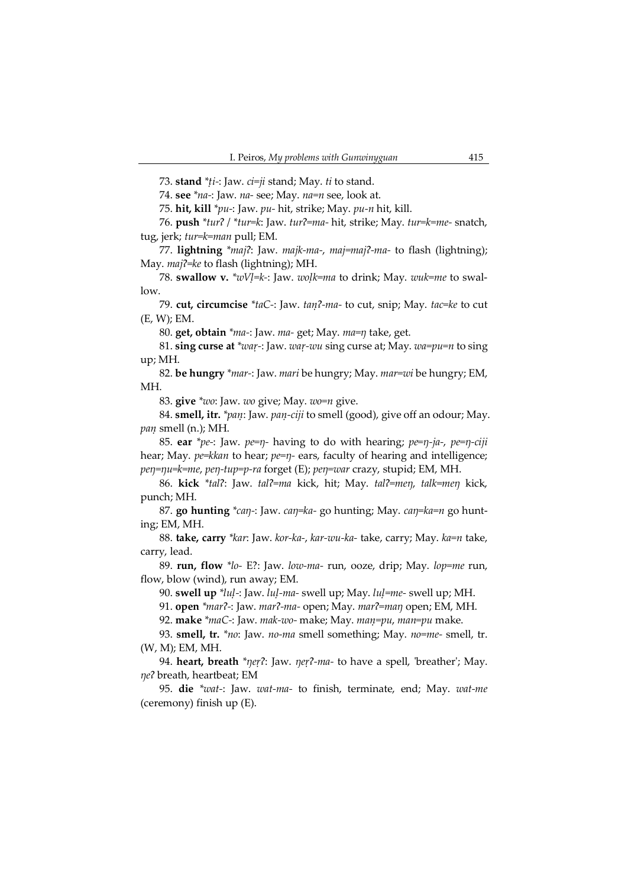73. **stand** *\*ti-*: Jaw. *ci=ji* stand; May. *ti* to stand.

74. **see** *\*na-*: Jaw. *na-* see; May. *na=n* see, look at.

75. **hit, kill** *\*pu-*: Jaw. *pu-* hit, strike; May. *pu-n* hit, kill.

76. **push** *\*turʔ* / *\*tur=k*: Jaw. *turʔ=ma-* hit, strike; May. *tur=k=me-* snatch, tug, jerk; *tur=k=man* pull; EM.

77. **lightning** *\*majʔ*: Jaw. *majk-ma-*, *maj=majʔ-ma-* to flash (lightning); May. *majʔ=ke* to flash (lightning); MH.

78. **swallow v.** *\*wVl=k-*: Jaw. *wolk=ma* to drink; May. *wuk=me* to swallow.

79. **cut, circumcise** *\*taC-*: Jaw. *tanʔ-ma-* to cut, snip; May. *tac=ke* to cut (E, W); EM.

80. **get, obtain** *\*ma-*: Jaw. *ma-* get; May. *ma=ŋ* take, get.

81. **sing curse at** *\*war-*: Jaw. *war-wu* sing curse at; May. *wa=pu=n* to sing up; MH.

82. **be hungry** *\*mar-*: Jaw. *mari* be hungry; May. *mar=wi* be hungry; EM, MH.

83. **give** *\*wo*: Jaw. *wo* give; May. *wo=n* give.

84. **smell, itr.** *\*pan*: Jaw. *pan-ciji* to smell (good), give off an odour; May. *pan* smell (n.); MH.

85. **ear** *\*pe-*: Jaw. *pe=ŋ-* having to do with hearing; *pe=ŋ-ja-*, *pe=ŋ-ciji* hear; May. *pe=kkan* to hear; *pe=ŋ-* ears, faculty of hearing and intelligence; *peŋ=ŋu=k=me*, *peŋ-tup=p-ra* forget (E); *peŋ=war* crazy, stupid; EM, MH.

86. **kick** *\*talʔ*: Jaw. *talʔ=ma* kick, hit; May. *talʔ=meŋ*, *talk=meŋ* kick, punch; MH.

87. **go hunting** *\*caŋ-*: Jaw. *caŋ=ka-* go hunting; May. *caŋ=ka=n* go hunting; EM, MH.

88. **take, carry** *\*kar*: Jaw. *kor-ka-*, *kar-wu-ka-* take, carry; May. *ka=n* take, carry, lead.

89. **run, flow** *\*lo-* E?: Jaw. *low-ma-* run, ooze, drip; May. *lop=me* run, flow, blow (wind), run away; EM.

90. **swell up** *\*lul-*: Jaw. *lul-ma-* swell up; May. *lul=me-* swell up; MH.

91. **open** *\*marʔ-*: Jaw. *marʔ-ma-* open; May. *marʔ=maŋ* open; EM, MH.

92. **make** *\*maC-*: Jaw. *mak-wo-* make; May. *man=pu*, *man=pu* make.

93. **smell, tr.** *\*no*: Jaw. *no-ma* smell something; May. *no=me-* smell, tr. (W, M); EM, MH.

94. **heart, breath** *\*ŋerʔ*: Jaw. *ŋerʔ-ma-* to have a spell, 'breather'; May. *ŋeʔ* breath, heartbeat; EM

95. **die** *\*wat-*: Jaw. *wat-ma-* to finish, terminate, end; May. *wat-me* (ceremony) finish up (E).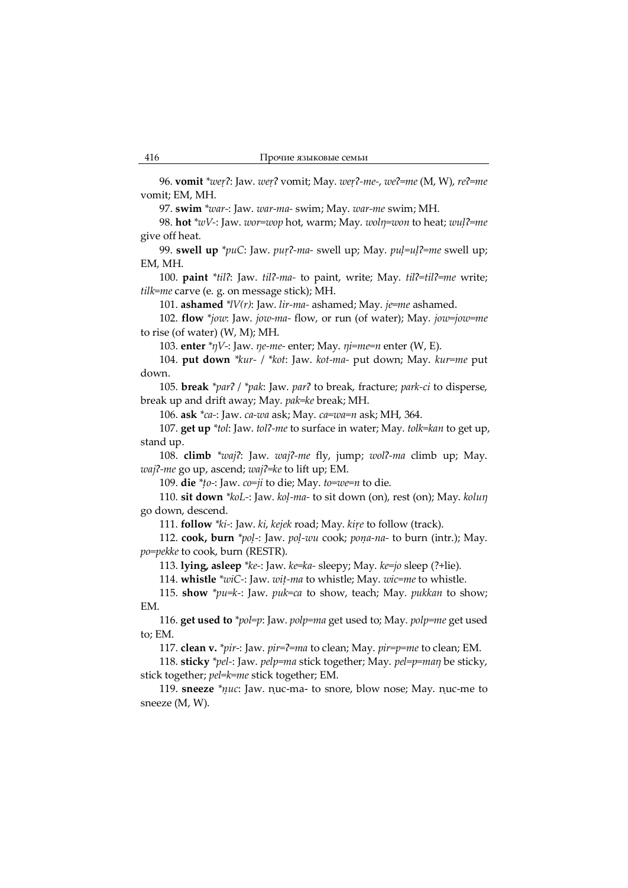96. **vomit** *\*werʔ*: Jaw. *werʔ* vomit; May. *werʔ-me-*, *weʔ=me* (M, W), *reʔ=me* vomit; EM, MH.

97. **swim** *\*war-*: Jaw. *war-ma-* swim; May. *war-me* swim; MH.

98. **hot** *\*wV-*: Jaw. *wor=wop* hot, warm; May. *wolŋ=won* to heat; *wulʔ=me* give off heat.

99. **swell up** *\*puC*: Jaw. *purʔ-ma-* swell up; May. *pul=ulʔ=me* swell up; EM, MH.

100. **paint** *\*tilʔ*: Jaw. *tilʔ-ma-* to paint, write; May. *tilʔ=tilʔ=me* write; *tilk=me* carve (e. g. on message stick); MH.

101. **ashamed** *\*lV(r)*: Jaw. *lir-ma-* ashamed; May. *je=me* ashamed.

102. **flow** *\*jow*: Jaw. *jow-ma-* flow, or run (of water); May. *jow=jow=me* to rise (of water) (W, M); MH.

103. **enter** *\*ŋV-*: Jaw. *ŋe-me-* enter; May. *ŋi=me=n* enter (W, E).

104. **put down** *\*kur-* / *\*kot*: Jaw. *kot-ma-* put down; May. *kur=me* put down.

105. **break** *\*parʔ* / *\*pak*: Jaw. *parʔ* to break, fracture; *park-ci* to disperse, break up and drift away; May. *pak=ke* break; MH.

106. **ask** *\*ca-*: Jaw. *ca-wa* ask; May. *ca=wa=n* ask; MH, 364.

107. **get up** *\*tol*: Jaw. *tolʔ-me* to surface in water; May. *tolk=kan* to get up, stand up.

108. **climb** *\*wajʔ*: Jaw. *wajʔ-me* fly, jump; *wolʔ-ma* climb up; May. *wajʔ-me* go up, ascend; *wajʔ=ke* to lift up; EM.

109. **die** *\*to-*: Jaw. *co=ji* to die; May. *to=we=n* to die.

110. **sit down** *\*koL-*: Jaw. *kol-ma-* to sit down (on), rest (on); May. *koluŋ* go down, descend.

111. **follow** *\*ki-*: Jaw. *ki*, *kejek* road; May. *kire* to follow (track).

112. **cook, burn** *\*pol-*: Jaw. *pol-wu* cook; *pona-na-* to burn (intr.); May. *po=pekke* to cook, burn (RESTR).

113. **lying, asleep** *\*ke-*: Jaw. *ke=ka-* sleepy; May. *ke=jo* sleep (?+lie).

114. **whistle** *\*wiC-*: Jaw. *wit-ma* to whistle; May. *wic=me* to whistle.

115. **show** *\*pu=k-*: Jaw. *puk=ca* to show, teach; May. *pukkan* to show; EM.

116. **get used to** *\*pol=p*: Jaw. *polp=ma* get used to; May. *polp=me* get used to; EM.

117. **clean v.** *\*pir-*: Jaw. *pir=ʔ=ma* to clean; May. *pir=p=me* to clean; EM.

118. **sticky** *\*pel-*: Jaw. *pelp=ma* stick together; May. *pel=p=maŋ* be sticky, stick together; *pel=k=me* stick together; EM.

119. **sneeze** *\*nuc*: Jaw. nuc-ma- to snore, blow nose; May. nuc-me to sneeze (M, W).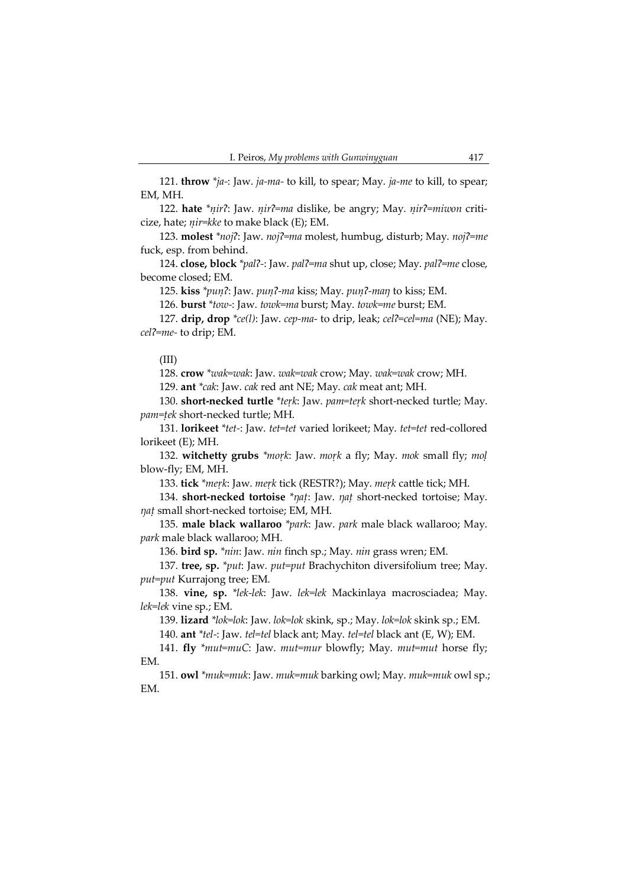121. **throw** *\*ja-*: Jaw. *ja-ma-* to kill, to spear; May. *ja-me* to kill, to spear; EM, MH.

122. **hate** *\*nirʔ*: Jaw. *nirʔ=ma* dislike, be angry; May. *nirʔ=miwon* criticize, hate; *nir=kke* to make black (E); EM.

123. **molest** *\*nojʔ*: Jaw. *nojʔ=ma* molest, humbug, disturb; May. *nojʔ=me* fuck, esp. from behind.

124. **close, block** *\*palʔ-*: Jaw. *palʔ=ma* shut up, close; May. *palʔ=me* close, become closed; EM.

125. **kiss** *\*punʔ*: Jaw. *punʔ-ma* kiss; May. *punʔ-maŋ* to kiss; EM.

126. **burst** *\*tow-*: Jaw. *towk=ma* burst; May. *towk=me* burst; EM.

127. **drip, drop** *\*ce(l)*: Jaw. *cep-ma-* to drip, leak; *celʔ=cel=ma* (NE); May. *celʔ=me-* to drip; EM.

(III)

128. **crow** *\*wak=wak*: Jaw. *wak=wak* crow; May. *wak=wak* crow; MH.

129. **ant** *\*cak*: Jaw. *cak* red ant NE; May. *cak* meat ant; MH.

130. **short-necked turtle** *\*terk*: Jaw. *pam=terk* short-necked turtle; May. *pam=tek* short-necked turtle; MH.

131. **lorikeet** *\*tet-*: Jaw. *tet=tet* varied lorikeet; May. *tet=tet* red-collored lorikeet (E); MH.

132. **witchetty grubs** *\*mork*: Jaw. *mork* a fly; May. *mok* small fly; *mol* blow-fly; EM, MH.

133. **tick** *\*merk*: Jaw. *merk* tick (RESTR?); May. *merk* cattle tick; MH.

134. **short-necked tortoise** *\*ŋat*: Jaw. *ŋat* short-necked tortoise; May. *ŋat* small short-necked tortoise; EM, MH.

135. **male black wallaroo** *\*park*: Jaw. *park* male black wallaroo; May. *park* male black wallaroo; MH.

136. **bird sp.** *\*nin*: Jaw. *nin* finch sp.; May. *nin* grass wren; EM.

137. **tree, sp.** *\*put*: Jaw. *put=put* Brachychiton diversifolium tree; May. *put=put* Kurrajong tree; EM.

138. **vine, sp.** *\*lek-lek*: Jaw. *lek=lek* Mackinlaya macrosciadea; May. *lek=lek* vine sp.; EM.

139. **lizard** *\*lok=lok*: Jaw. *lok=lok* skink, sp.; May. *lok=lok* skink sp.; EM.

140. **ant** *\*tel-*: Jaw. *tel=tel* black ant; May. *tel=tel* black ant (E, W); EM.

141. **fly** *\*mut=muC*: Jaw. *mut=mur* blowfly; May. *mut=mut* horse fly; EM.

151. **owl** *\*muk=muk*: Jaw. *muk=muk* barking owl; May. *muk=muk* owl sp.; EM.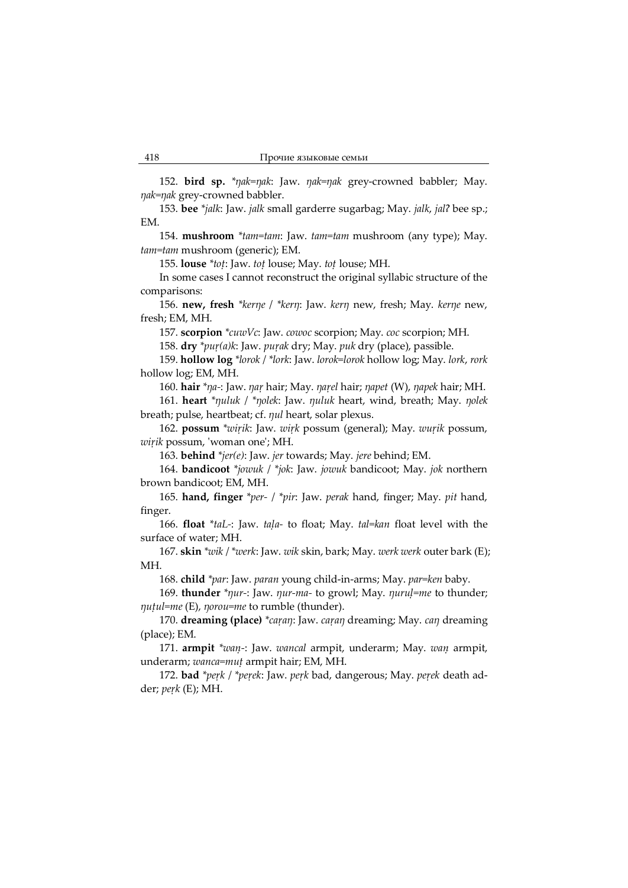152. **bird sp.** *\*ŋak=ŋak*: Jaw. *ŋak=ŋak* grey-crowned babbler; May. *ŋak=ŋak* grey-crowned babbler.

153. **bee** *\*jalk*: Jaw. *jalk* small garderre sugarbag; May. *jalk*, *jalʔ* bee sp.; EM.

154. **mushroom** *\*tam=tam*: Jaw. *tam=tam* mushroom (any type); May. *tam=tam* mushroom (generic); EM.

155. **louse** *\*tot*: Jaw. *tot* louse; May. *tot* louse; MH.

In some cases I cannot reconstruct the original syllabic structure of the comparisons:

156. **new, fresh** *\*kerŋe* / *\*kerŋ*: Jaw. *kerŋ* new, fresh; May. *kerŋe* new, fresh; EM, MH.

157. **scorpion** *\*cuwVc*: Jaw. *cowoc* scorpion; May. *coc* scorpion; MH.

158. **dry** *\*pur(a)k*: Jaw. *purak* dry; May. *puk* dry (place), passible.

159. **hollow log** *\*lorok* / *\*lork*: Jaw. *lorok=lorok* hollow log; May. *lork*, *rork* hollow log; EM, MH.

160. **hair** *\*ŋa-*: Jaw. *ŋar* hair; May. *ŋarel* hair; *ŋapet* (W), *ŋapek* hair; MH.

161. **heart** *\*ŋuluk* / *\*ŋolek*: Jaw. *ŋuluk* heart, wind, breath; May. *ŋolek* breath; pulse, heartbeat; cf. *ŋul* heart, solar plexus.

162. **possum** *\*wirik*: Jaw. *wirk* possum (general); May. *wurik* possum, *wirik* possum, 'woman one'; MH.

163. **behind** *\*jer(e)*: Jaw. *jer* towards; May. *jere* behind; EM.

164. **bandicoot** *\*jowuk* / *\*jok*: Jaw. *jowuk* bandicoot; May. *jok* northern brown bandicoot; EM, MH.

165. **hand, finger** *\*per-* / *\*pir*: Jaw. *perak* hand, finger; May. *pit* hand, finger.

166. **float** *\*taL-*: Jaw. *tala-* to float; May. *tal=kan* float level with the surface of water; MH.

167. **skin** *\*wik* / *\*werk*: Jaw. *wik* skin, bark; May. *werk werk* outer bark (E); MH.

168. **child** *\*par*: Jaw. *paran* young child-in-arms; May. *par=ken* baby.

169. **thunder** *\*ŋur-*: Jaw. *ŋur-ma-* to growl; May. *ŋurul=me* to thunder; *ŋutul=me* (E), *ŋorou=me* to rumble (thunder).

170. **dreaming (place)** *\*caraŋ*: Jaw. *caraŋ* dreaming; May. *caŋ* dreaming (place); EM.

171. **armpit** *\*wan-*: Jaw. *wancal* armpit, underarm; May. *wan* armpit, underarm; *wanca=mut* armpit hair; EM, MH.

172. **bad** *\*perk* / *\*perek*: Jaw. *perk* bad, dangerous; May. *perek* death adder; *perk* (E); MH.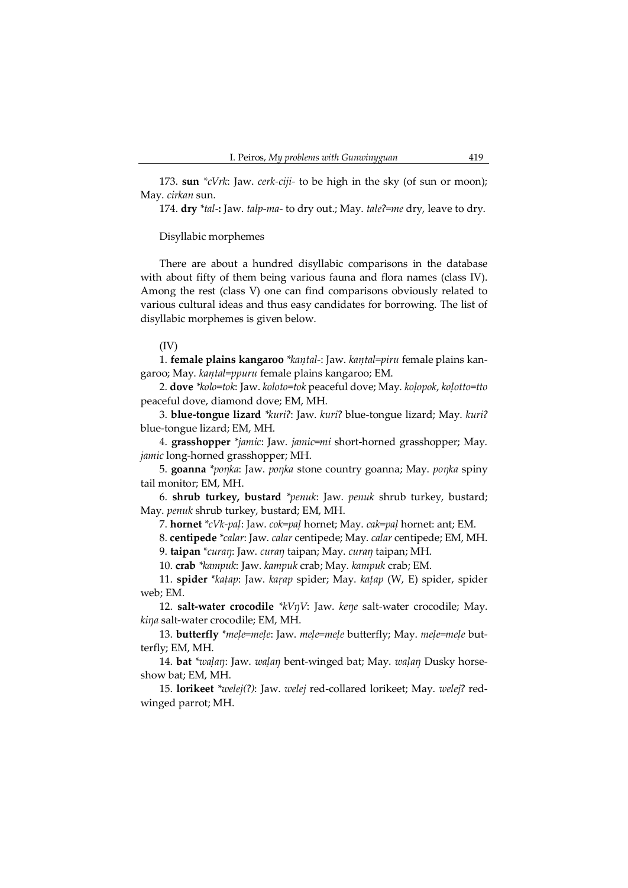173. **sun** *\*cVrk*: Jaw. *cerk-ciji-* to be high in the sky (of sun or moon); May. *cirkan* sun.

174. **dry** *\*tal-***:** Jaw. *talp-ma-* to dry out.; May. *taleʔ=me* dry, leave to dry.

#### Disyllabic morphemes

There are about a hundred disyllabic comparisons in the database with about fifty of them being various fauna and flora names (class IV). Among the rest (class V) one can find comparisons obviously related to various cultural ideas and thus easy candidates for borrowing. The list of disyllabic morphemes is given below.

## (IV)

1. **female plains kangaroo** *\*kantal-*: Jaw. *kantal=piru* female plains kangaroo; May. *kantal=ppuru* female plains kangaroo; EM.

2. **dove** *\*kolo=tok*: Jaw. *koloto=tok* peaceful dove; May. *kolopok*, *kolotto=tto* peaceful dove, diamond dove; EM, MH.

3. **blue-tongue lizard** *\*kuriʔ*: Jaw. *kuriʔ* blue-tongue lizard; May. *kuriʔ* blue-tongue lizard; EM, MH.

4. **grasshopper** *\*jamic*: Jaw. *jamic=mi* short-horned grasshopper; May. *jamic* long-horned grasshopper; MH.

5. **goanna** *\*poŋka*: Jaw. *poŋka* stone country goanna; May. *poŋka* spiny tail monitor; EM, MH.

6. **shrub turkey, bustard** *\*penuk*: Jaw. *penuk* shrub turkey, bustard; May. *penuk* shrub turkey, bustard; EM, MH.

7. **hornet** *\*cVk-pal*: Jaw. *cok=pal* hornet; May. *cak=pal* hornet: ant; EM.

8. **centipede** *\*calar*: Jaw. *calar* centipede; May. *calar* centipede; EM, MH.

9. **taipan** *\*curaŋ*: Jaw. *curaŋ* taipan; May. *curaŋ* taipan; MH.

10. **crab** *\*kampuk*: Jaw. *kampuk* crab; May. *kampuk* crab; EM.

11. **spider** *\*katap*: Jaw. *karap* spider; May. *katap* (W, E) spider, spider web; EM.

12. **salt-water crocodile** *\*kVŋV*: Jaw. *keŋe* salt-water crocodile; May. *kiŋa* salt-water crocodile; EM, MH.

13. **butterfly** *\*mele=mele*: Jaw. *mele=mele* butterfly; May. *mele=mele* butterfly; EM, MH.

14. **bat** *\*walaŋ*: Jaw. *walaŋ* bent-winged bat; May. *walaŋ* Dusky horseshow bat; EM, MH.

15. **lorikeet** *\*welej(ʔ)*: Jaw. *welej* red-collared lorikeet; May. *welejʔ* redwinged parrot; MH.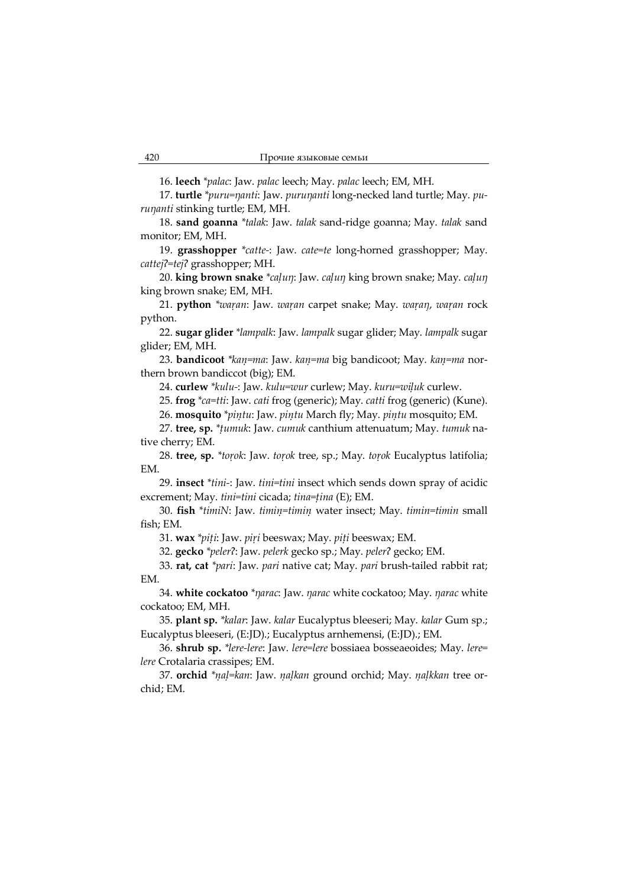16. **leech** *\*palac*: Jaw. *palac* leech; May. *palac* leech; EM, MH.

17. **turtle** *\*puru=ŋanti*: Jaw. *puruŋanti* long-necked land turtle; May. *puruŋanti* stinking turtle; EM, MH.

18. **sand goanna** *\*talak*: Jaw. *talak* sand-ridge goanna; May. *talak* sand monitor; EM, MH.

19. **grasshopper** *\*catte-*: Jaw. *cate=te* long-horned grasshopper; May. *cattejʔ=tejʔ* grasshopper; MH.

20. **king brown snake** *\*caluŋ*: Jaw. *caluŋ* king brown snake; May. *caluŋ* king brown snake; EM, MH.

21. **python** *\*waran*: Jaw. *waran* carpet snake; May. *waraŋ*, *waran* rock python.

22. **sugar glider** *\*lampalk*: Jaw. *lampalk* sugar glider; May. *lampalk* sugar glider; EM, MH.

23. **bandicoot** *\*kan=ma*: Jaw. *kan=ma* big bandicoot; May. *kan=ma* northern brown bandiccot (big); EM.

24. **curlew** *\*kulu-*: Jaw. *kulu=wur* curlew; May. *kuru=wiluk* curlew.

25. **frog** *\*ca=tti*: Jaw. *cati* frog (generic); May. *catti* frog (generic) (Kune).

26. **mosquito** *\*pintu*: Jaw. *pintu* March fly; May. *pintu* mosquito; EM.

27. **tree, sp.** *\*tumuk*: Jaw. *cumuk* canthium attenuatum; May. *tumuk* native cherry; EM.

28. **tree, sp.** *\*torok*: Jaw. *torok* tree, sp.; May. *torok* Eucalyptus latifolia; EM.

29. **insect** *\*tini-*: Jaw. *tini=tini* insect which sends down spray of acidic excrement; May. *tini=tini* cicada; *tina=tina* (E); EM.

30. **fish** *\*timiN*: Jaw. *timin=timin* water insect; May. *timin=timin* small fish; EM.

31. **wax** *\*piti*: Jaw. *piri* beeswax; May. *piti* beeswax; EM.

32. **gecko** *\*pelerʔ*: Jaw. *pelerk* gecko sp.; May. *pelerʔ* gecko; EM.

33. **rat, cat** *\*pari*: Jaw. *pari* native cat; May. *pari* brush-tailed rabbit rat; EM.

34. **white cockatoo** *\*ŋarac*: Jaw. *ŋarac* white cockatoo; May. *ŋarac* white cockatoo; EM, MH.

35. **plant sp.** *\*kalar*: Jaw. *kalar* Eucalyptus bleeseri; May. *kalar* Gum sp.; Eucalyptus bleeseri, (E:JD).; Eucalyptus arnhemensi, (E:JD).; EM.

36. **shrub sp.** *\*lere-lere*: Jaw. *lere=lere* bossiaea bosseaeoides; May. *lere= lere* Crotalaria crassipes; EM.

37. **orchid** *\*nal=kan*: Jaw. *nalkan* ground orchid; May. *nalkkan* tree orchid; EM.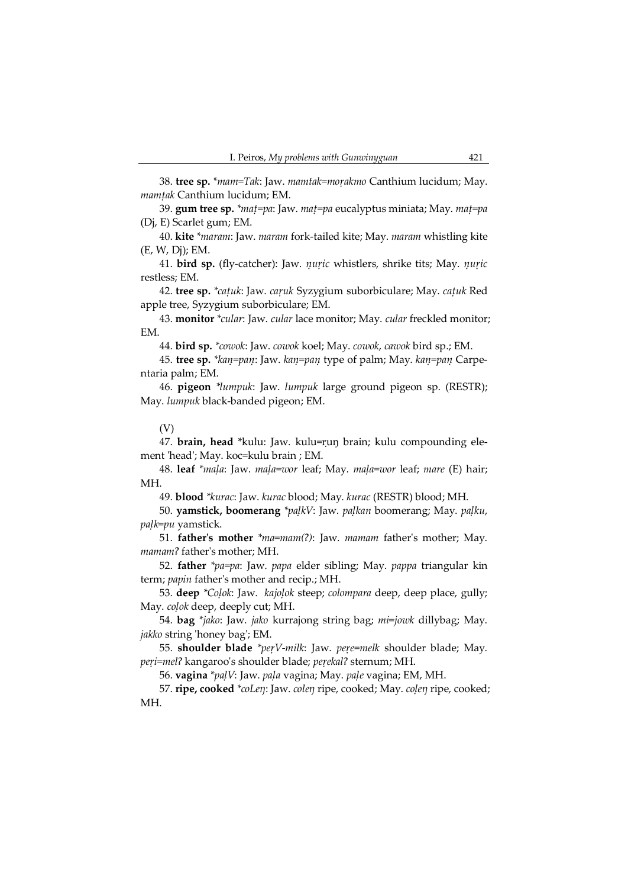38. **tree sp.** *\*mam=Tak*: Jaw. *mamtak=morakmo* Canthium lucidum; May. *mamtak* Canthium lucidum; EM.

39. **gum tree sp.** *\*mat=pa*: Jaw. *mat=pa* eucalyptus miniata; May. *mat=pa* (Dj, E) Scarlet gum; EM.

40. **kite** *\*maram*: Jaw. *maram* fork-tailed kite; May. *maram* whistling kite (E, W, Dj); EM.

41. **bird sp.** (fly-catcher): Jaw. *nuric* whistlers, shrike tits; May. *nuric* restless; EM.

42. **tree sp.** *\*catuk*: Jaw. *caruk* Syzygium suborbiculare; May. *catuk* Red apple tree, Syzygium suborbiculare; EM.

43. **monitor** *\*cular*: Jaw. *cular* lace monitor; May. *cular* freckled monitor; EM.

44. **bird sp.** *\*cowok*: Jaw. *cowok* koel; May. *cowok*, *cawok* bird sp.; EM.

45. **tree sp.** *\*kan=pan*: Jaw. *kan=pan* type of palm; May. *kan=pan* Carpentaria palm; EM.

46. **pigeon** *\*lumpuk*: Jaw. *lumpuk* large ground pigeon sp. (RESTR); May. *lumpuk* black-banded pigeon; EM.

### (V)

47. **brain, head** \*kulu: Jaw. kulu=ruŋ brain; kulu compounding element 'head'; May. koc=kulu brain ; EM.

48. **leaf** *\*mala*: Jaw. *mala=wor* leaf; May. *mala=wor* leaf; *mare* (E) hair; MH.

49. **blood** *\*kurac*: Jaw. *kurac* blood; May. *kurac* (RESTR) blood; MH.

50. **yamstick, boomerang** *\*palkV*: Jaw. *palkan* boomerang; May. *palku*, *palk=pu* yamstick.

51. **father's mother** *\*ma=mam(ʔ)*: Jaw. *mamam* father's mother; May. *mamamʔ* father's mother; MH.

52. **father** *\*pa=pa*: Jaw. *papa* elder sibling; May. *pappa* triangular kin term; *papin* father's mother and recip.; MH.

53. **deep** *\*Colok*: Jaw. *kajolok* steep; *colompara* deep, deep place, gully; May. *colok* deep, deeply cut; MH.

54. **bag** *\*jako*: Jaw. *jako* kurrajong string bag; *mi=jowk* dillybag; May. *jakko* string 'honey bag'; EM.

55. **shoulder blade** *\*perV-milk*: Jaw. *pere=melk* shoulder blade; May. *peri=melʔ* kangaroo's shoulder blade; *perekalʔ* sternum; MH.

56. **vagina** *\*palV*: Jaw. *pala* vagina; May. *pale* vagina; EM, MH.

57. **ripe, cooked** *\*coLeŋ*: Jaw. *coleŋ* ripe, cooked; May. *coleŋ* ripe, cooked; MH.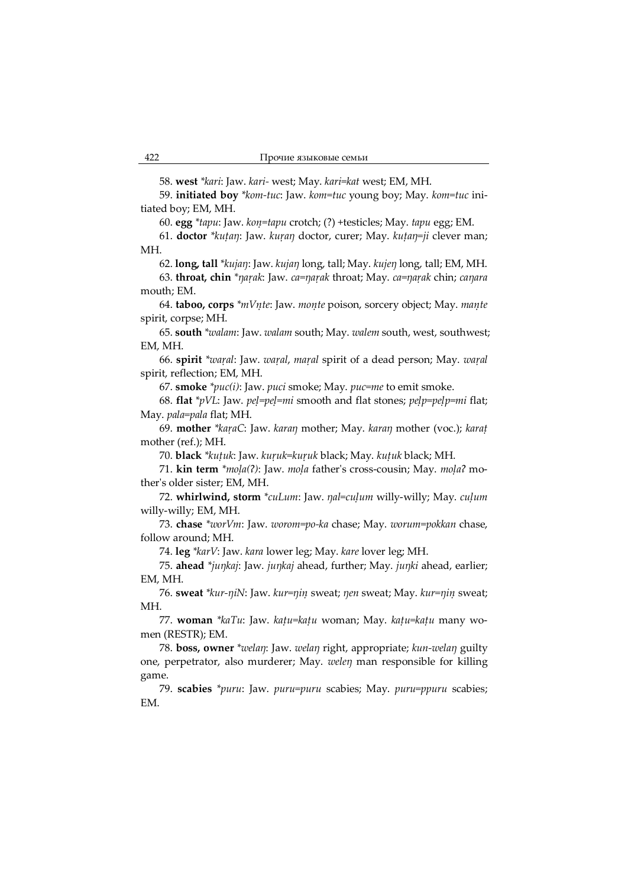58. **west** *\*kari*: Jaw. *kari-* west; May. *kari=kat* west; EM, MH.

59. **initiated boy** *\*kom-tuc*: Jaw. *kom=tuc* young boy; May. *kom=tuc* initiated boy; EM, MH.

60. **egg** *\*tapu*: Jaw. *kon=tapu* crotch; (?) +testicles; May. *tapu* egg; EM.

61. **doctor** *\*kutaŋ*: Jaw. *kuraŋ* doctor, curer; May. *kutaŋ=ji* clever man; MH.

62. **long, tall** *\*kujaŋ*: Jaw. *kujaŋ* long, tall; May. *kujeŋ* long, tall; EM, MH.

63. **throat, chin** *\*ŋarak*: Jaw. *ca=ŋarak* throat; May. *ca=ŋarak* chin; *caŋara* mouth; EM.

64. **taboo, corps** *\*mVnte*: Jaw. *monte* poison, sorcery object; May. *mante* spirit, corpse; MH.

65. **south** *\*walam*: Jaw. *walam* south; May. *walem* south, west, southwest; EM, MH.

66. **spirit** *\*waral*: Jaw. *waral*, *maral* spirit of a dead person; May. *waral* spirit, reflection; EM, MH.

67. **smoke** *\*puc(i)*: Jaw. *puci* smoke; May. *puc=me* to emit smoke.

68. **flat** *\*pVL*: Jaw. *pel=pel=mi* smooth and flat stones; *pelp=pelp=mi* flat; May. *pala=pala* flat; MH.

69. **mother** *\*karaC*: Jaw. *karaŋ* mother; May. *karaŋ* mother (voc.); *karat* mother (ref.); MH.

70. **black** *\*kutuk*: Jaw. *kuruk=kuruk* black; May. *kutuk* black; MH.

71. **kin term** *\*mola(ʔ)*: Jaw. *mola* father's cross-cousin; May. *molaʔ* mother's older sister; EM, MH.

72. **whirlwind, storm** *\*cuLum*: Jaw. *ŋal=culum* willy-willy; May. *culum* willy-willy; EM, MH.

73. **chase** *\*worVm*: Jaw. *worom=po-ka* chase; May. *worum=pokkan* chase, follow around; MH.

74. **leg** *\*karV*: Jaw. *kara* lower leg; May. *kare* lover leg; MH.

75. **ahead** *\*juŋkaj*: Jaw. *juŋkaj* ahead, further; May. *juŋki* ahead, earlier; EM, MH.

76. **sweat** *\*kur-ŋiN*: Jaw. *kur=ŋin* sweat; *ŋen* sweat; May. *kur=ŋin* sweat; MH.

77. **woman** *\*kaTu*: Jaw. *katu=katu* woman; May. *katu=katu* many women (RESTR); EM.

78. **boss, owner** *\*welaŋ*: Jaw. *welaŋ* right, appropriate; *kun-welaŋ* guilty one, perpetrator, also murderer; May. *weleŋ* man responsible for killing game.

79. **scabies** *\*puru*: Jaw. *puru=puru* scabies; May. *puru=ppuru* scabies; EM.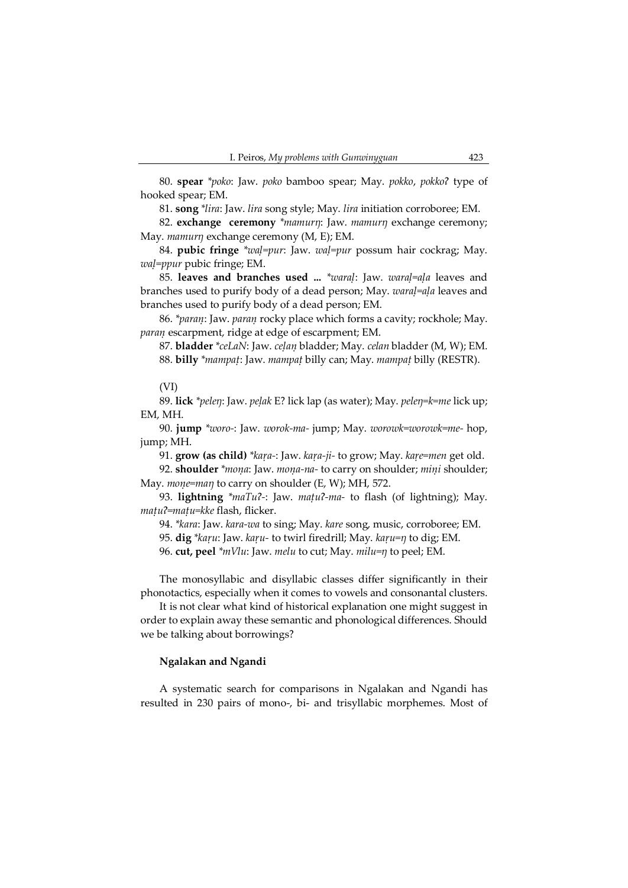80. **spear** *\*poko*: Jaw. *poko* bamboo spear; May. *pokko*, *pokkoʔ* type of hooked spear; EM.

81. **song** *\*lira*: Jaw. *lira* song style; May. *lira* initiation corroboree; EM.

82. **exchange ceremony** *\*mamurŋ*: Jaw. *mamurŋ* exchange ceremony; May. *mamurŋ* exchange ceremony (M, E); EM.

84. **pubic fringe** *\*wal=pur*: Jaw. *wal=pur* possum hair cockrag; May. *wal=ppur* pubic fringe; EM.

85. **leaves and branches used ...** *\*waral*: Jaw. *waral=ala* leaves and branches used to purify body of a dead person; May. *waral=ala* leaves and branches used to purify body of a dead person; EM.

86. *\*paran*: Jaw. *paran* rocky place which forms a cavity; rockhole; May. *paran* escarpment, ridge at edge of escarpment; EM.

87. **bladder** *\*ceLaN*: Jaw. *celan* bladder; May. *celan* bladder (M, W); EM. 88. **billy** *\*mampat*: Jaw. *mampat* billy can; May. *mampat* billy (RESTR).

(VI)

89. **lick** *\*peleŋ*: Jaw. *pelak* E? lick lap (as water); May. *peleŋ=k=me* lick up; EM, MH.

90. **jump** *\*woro-*: Jaw. *worok-ma-* jump; May. *worowk=worowk=me-* hop, jump; MH.

91. **grow (as child)** *\*kara-*: Jaw. *kara-ji-* to grow; May. *kare=men* get old.

92. **shoulder** *\*mona*: Jaw. *mona-na-* to carry on shoulder; *mini* shoulder; May. *mone=maŋ* to carry on shoulder (E, W); MH, 572.

93. **lightning** *\*maTuʔ-*: Jaw. *matuʔ-ma-* to flash (of lightning); May. *matuʔ=matu=kke* flash, flicker.

94. *\*kara*: Jaw. *kara-wa* to sing; May. *kare* song, music, corroboree; EM.

95. **dig** *\*karu*: Jaw. *karu-* to twirl firedrill; May. *karu=ŋ* to dig; EM.

96. **cut, peel** *\*mVlu*: Jaw. *melu* to cut; May. *milu=ŋ* to peel; EM.

The monosyllabic and disyllabic classes differ significantly in their phonotactics, especially when it comes to vowels and consonantal clusters.

It is not clear what kind of historical explanation one might suggest in order to explain away these semantic and phonological differences. Should we be talking about borrowings?

## **Ngalakan and Ngandi**

A systematic search for comparisons in Ngalakan and Ngandi has resulted in 230 pairs of mono-, bi- and trisyllabic morphemes. Most of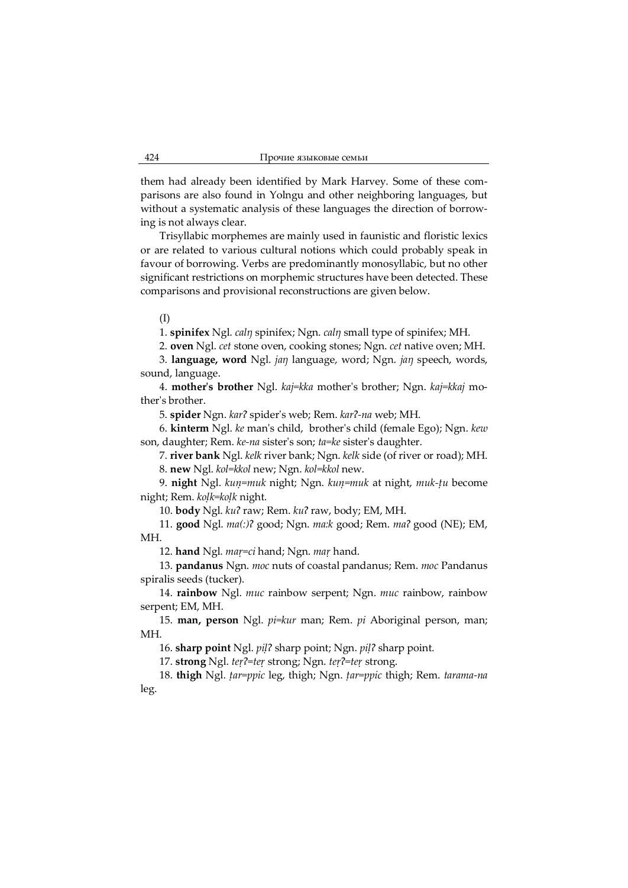them had already been identified by Mark Harvey. Some of these comparisons are also found in Yolngu and other neighboring languages, but without a systematic analysis of these languages the direction of borrowing is not always clear.

Trisyllabic morphemes are mainly used in faunistic and floristic lexics or are related to various cultural notions which could probably speak in favour of borrowing. Verbs are predominantly monosyllabic, but no other significant restrictions on morphemic structures have been detected. These comparisons and provisional reconstructions are given below.

## (I)

1. **spinifex** Ngl. *calŋ* spinifex; Ngn. *calŋ* small type of spinifex; MH.

2. **oven** Ngl. *cet* stone oven, cooking stones; Ngn. *cet* native oven; MH. 3. **language, word** Ngl. *jaŋ* language, word; Ngn. *jaŋ* speech, words, sound, language.

4. **mother's brother** Ngl. *kaj=kka* mother's brother; Ngn. *kaj=kkaj* mother's brother.

5. **spider** Ngn. *karʔ* spider's web; Rem. *karʔ-na* web; MH.

6. **kinterm** Ngl. *ke* man's child, brother's child (female Ego); Ngn. *kew* son, daughter; Rem. *ke-na* sister's son; *ta=ke* sister's daughter.

7. **river bank** Ngl. *kelk* river bank; Ngn. *kelk* side (of river or road); MH.

8. **new** Ngl. *kol=kkol* new; Ngn. *kol=kkol* new.

9. **night** Ngl. *kun=muk* night; Ngn. *kun=muk* at night, *muk-tu* become night; Rem. *kolk=kolk* night.

10. **body** Ngl. *kuʔ* raw; Rem. *kuʔ* raw, body; EM, MH.

11. **good** Ngl. *ma(:)ʔ* good; Ngn. *ma:k* good; Rem. *maʔ* good (NE); EM, MH.

12. **hand** Ngl. *mar=ci* hand; Ngn. *mar* hand.

13. **pandanus** Ngn. *moc* nuts of coastal pandanus; Rem. *moc* Pandanus spiralis seeds (tucker).

14. **rainbow** Ngl. *muc* rainbow serpent; Ngn. *muc* rainbow, rainbow serpent; EM, MH.

15. **man, person** Ngl. *pi=kur* man; Rem. *pi* Aboriginal person, man; MH.

16. **sharp point** Ngl. *pilʔ* sharp point; Ngn. *pilʔ* sharp point.

17. **strong** Ngl. *terʔ=ter* strong; Ngn. *terʔ=ter* strong.

18. **thigh** Ngl. *tar=ppic* leg, thigh; Ngn. *tar=ppic* thigh; Rem. *tarama-na* leg.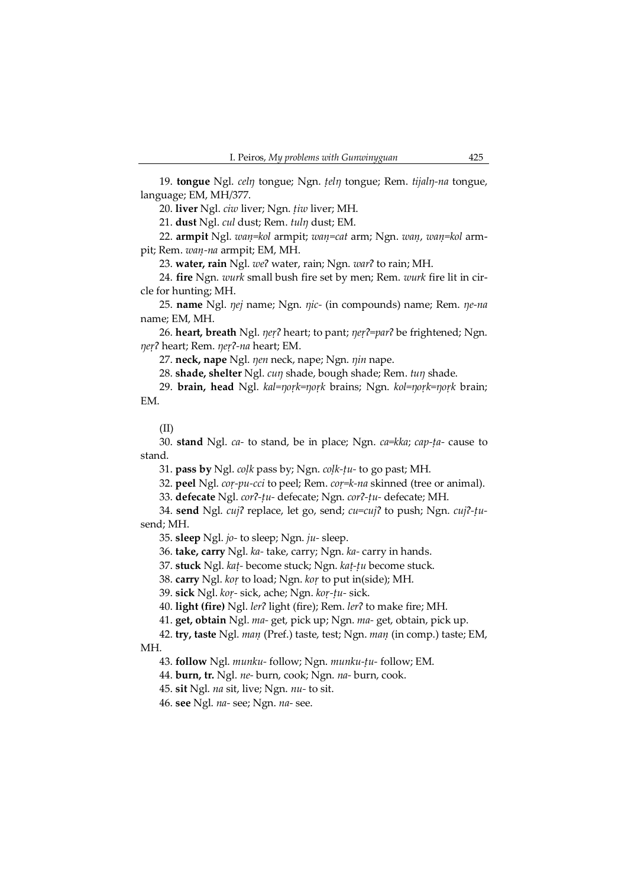19. **tongue** Ngl. *celŋ* tongue; Ngn. *telŋ* tongue; Rem. *tijalŋ-na* tongue, language; EM, MH/377.

20. **liver** Ngl. *ciw* liver; Ngn. *tiw* liver; MH.

21. **dust** Ngl. *cul* dust; Rem. *tulŋ* dust; EM.

22. **armpit** Ngl. *wan=kol* armpit; *wan=cat* arm; Ngn. *wan*, *wan=kol* armpit; Rem. *wan-na* armpit; EM, MH.

23. **water, rain** Ngl. *weʔ* water, rain; Ngn. *warʔ* to rain; MH.

24. **fire** Ngn. *wurk* small bush fire set by men; Rem. *wurk* fire lit in circle for hunting; MH.

25. **name** Ngl. *ŋej* name; Ngn. *ŋic-* (in compounds) name; Rem. *ŋe-na* name; EM, MH.

26. **heart, breath** Ngl. *ŋerʔ* heart; to pant; *ŋerʔ=parʔ* be frightened; Ngn. *ŋerʔ* heart; Rem. *ŋerʔ-na* heart; EM.

27. **neck, nape** Ngl. *ŋen* neck, nape; Ngn. *ŋin* nape.

28. **shade, shelter** Ngl. *cuŋ* shade, bough shade; Rem. *tuŋ* shade.

29. **brain, head** Ngl. *kal=ŋork=ŋork* brains; Ngn. *kol=ŋork=ŋork* brain; EM.

(II)

30. **stand** Ngl. *ca-* to stand, be in place; Ngn. *ca=kka*; *cap-ta-* cause to stand.

31. **pass by** Ngl. *colk* pass by; Ngn. *colk-tu-* to go past; MH.

32. **peel** Ngl. *cor-pu-cci* to peel; Rem. *cor=k-na* skinned (tree or animal).

33. **defecate** Ngl. *corʔ-tu-* defecate; Ngn. *corʔ-tu-* defecate; MH.

34. **send** Ngl. *cujʔ* replace, let go, send; *cu=cujʔ* to push; Ngn. *cujʔ-tu*send; MH.

35. **sleep** Ngl. *jo-* to sleep; Ngn. *ju-* sleep.

36. **take, carry** Ngl. *ka-* take, carry; Ngn. *ka-* carry in hands.

37. **stuck** Ngl. *kaṭ-* become stuck; Ngn. *kaṭ-tu* become stuck.

38. **carry** Ngl. *kor* to load; Ngn. *kor* to put in(side); MH.

39. **sick** Ngl. *kor-* sick, ache; Ngn. *kor-tu-* sick.

40. **light (fire)** Ngl. *lerʔ* light (fire); Rem. *lerʔ* to make fire; MH.

41. **get, obtain** Ngl. *ma-* get, pick up; Ngn. *ma-* get, obtain, pick up.

42. **try, taste** Ngl. *man* (Pref.) taste, test; Ngn. *man* (in comp.) taste; EM, MH.

43. **follow** Ngl. *munku-* follow; Ngn. *munku-tu-* follow; EM.

44. **burn, tr.** Ngl. *ne-* burn, cook; Ngn. *na-* burn, cook.

45. **sit** Ngl. *na* sit, live; Ngn. *nu-* to sit.

46. **see** Ngl. *na-* see; Ngn. *na-* see.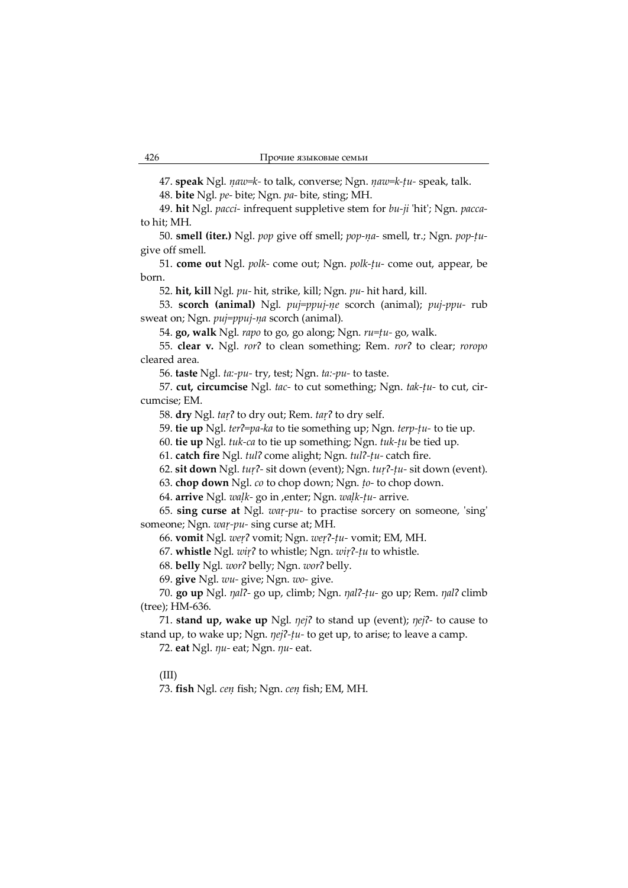47. **speak** Ngl. *naw=k-* to talk, converse; Ngn. *naw=k-tu-* speak, talk.

48. **bite** Ngl. *pe-* bite; Ngn. *pa-* bite, sting; MH.

49. **hit** Ngl. *pacci-* infrequent suppletive stem for *bu-ji* 'hit'; Ngn. *pacca*to hit; MH.

50. **smell (iter.)** Ngl. *pop* give off smell; *pop-na-* smell, tr.; Ngn. *pop-tu*give off smell.

51. **come out** Ngl. *polk-* come out; Ngn. *polk-tu-* come out, appear, be born.

52. **hit, kill** Ngl. *pu-* hit, strike, kill; Ngn. *pu-* hit hard, kill.

53. **scorch (animal)** Ngl. *puj=ppuj-ne* scorch (animal); *puj-ppu-* rub sweat on; Ngn. *puj=ppuj-na* scorch (animal).

54. **go, walk** Ngl. *rapo* to go, go along; Ngn. *ru=tu-* go, walk.

55. **clear v.** Ngl. *rorʔ* to clean something; Rem. *rorʔ* to clear; *roropo* cleared area.

56. **taste** Ngl. *ta:-pu-* try, test; Ngn. *ta:-pu-* to taste.

57. **cut, circumcise** Ngl. *tac-* to cut something; Ngn. *tak-tu-* to cut, circumcise; EM.

58. **dry** Ngl. *tarʔ* to dry out; Rem. *tarʔ* to dry self.

59. **tie up** Ngl. *terʔ=pa-ka* to tie something up; Ngn. *terp-tu-* to tie up.

60. **tie up** Ngl. *tuk-ca* to tie up something; Ngn. *tuk-tu* be tied up.

61. **catch fire** Ngl. *tulʔ* come alight; Ngn. *tulʔ-tu-* catch fire.

62. **sit down** Ngl. *turʔ-* sit down (event); Ngn. *turʔ-tu-* sit down (event).

63. **chop down** Ngl. *co* to chop down; Ngn. *to-* to chop down.

64. **arrive** Ngl. *walk-* go in ,enter; Ngn. *walk-tu-* arrive.

65. **sing curse at** Ngl. *war-pu-* to practise sorcery on someone, 'sing' someone; Ngn. *war-pu-* sing curse at; MH.

66. **vomit** Ngl. *werʔ* vomit; Ngn. *werʔ-tu-* vomit; EM, MH.

67. **whistle** Ngl. *wirʔ* to whistle; Ngn. *wirʔ-tu* to whistle.

68. **belly** Ngl. *worʔ* belly; Ngn. *worʔ* belly.

69. **give** Ngl. *wu-* give; Ngn. *wo-* give.

70. **go up** Ngl. *ŋalʔ-* go up, climb; Ngn. *ŋalʔ-tu-* go up; Rem. *ŋalʔ* climb (tree); HM-636.

71. **stand up, wake up** Ngl. *ŋejʔ* to stand up (event); *ŋejʔ-* to cause to stand up, to wake up; Ngn. *ŋejʔ-tu-* to get up, to arise; to leave a camp.

72. **eat** Ngl. *ŋu-* eat; Ngn. *ŋu-* eat.

(III)

73. **fish** Ngl. *cen* fish; Ngn. *cen* fish; EM, MH.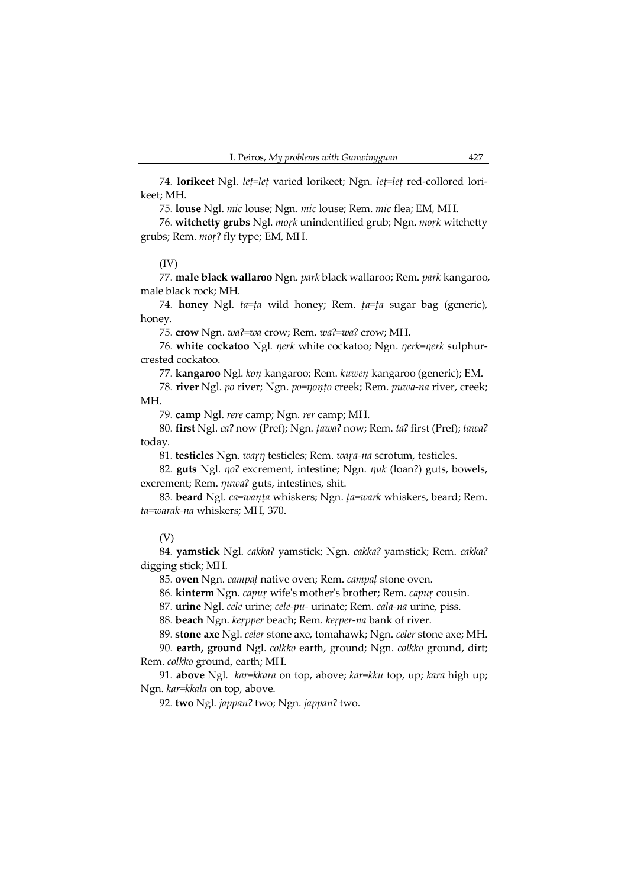74. **lorikeet** Ngl. *leṭ=leṭ* varied lorikeet; Ngn. *leṭ=leṭ* red-collored lorikeet; MH.

75. **louse** Ngl. *mic* louse; Ngn. *mic* louse; Rem. *mic* flea; EM, MH.

76. **witchetty grubs** Ngl. *mork* unindentified grub; Ngn. *mork* witchetty grubs; Rem. *morʔ* fly type; EM, MH.

### (IV)

77. **male black wallaroo** Ngn. *park* black wallaroo; Rem. *park* kangaroo, male black rock; MH.

74. **honey** Ngl. *ta=ta* wild honey; Rem. *ta=ta* sugar bag (generic), honey.

75. **crow** Ngn. *waʔ=wa* crow; Rem. *waʔ=waʔ* crow; MH.

76. **white cockatoo** Ngl. *ŋerk* white cockatoo; Ngn. *ŋerk=ŋerk* sulphurcrested cockatoo.

77. **kangaroo** Ngl. *kon* kangaroo; Rem. *kuwen* kangaroo (generic); EM.

78. **river** Ngl. *po* river; Ngn. *po=ŋonṭo* creek; Rem. *puwa-na* river, creek; MH.

79. **camp** Ngl. *rere* camp; Ngn. *rer* camp; MH.

80. **first** Ngl. *caʔ* now (Pref); Ngn. *tawaʔ* now; Rem. *taʔ* first (Pref); *tawaʔ* today.

81. **testicles** Ngn. *warŋ* testicles; Rem. *wara-na* scrotum, testicles.

82. **guts** Ngl. *ŋoʔ* excrement, intestine; Ngn. *ŋuk* (loan?) guts, bowels, excrement; Rem. *ŋuwaʔ* guts, intestines, shit.

83. **beard** Ngl. *ca=wanṭa* whiskers; Ngn. *ta=wark* whiskers, beard; Rem. *ta=warak-na* whiskers; MH, 370.

# (V)

84. **yamstick** Ngl. *cakkaʔ* yamstick; Ngn. *cakkaʔ* yamstick; Rem. *cakkaʔ* digging stick; MH.

85. **oven** Ngn. *campal* native oven; Rem. *campal* stone oven.

86. **kinterm** Ngn. *capur* wife's mother's brother; Rem. *capur* cousin.

87. **urine** Ngl. *cele* urine; *cele-pu-* urinate; Rem. *cala-na* urine, piss.

88. **beach** Ngn. *kerpper* beach; Rem. *kerper-na* bank of river.

89. **stone axe** Ngl. *celer* stone axe, tomahawk; Ngn. *celer* stone axe; MH. 90. **earth, ground** Ngl. *colkko* earth, ground; Ngn. *colkko* ground, dirt; Rem. *colkko* ground, earth; MH.

91. **above** Ngl. *kar=kkara* on top, above; *kar=kku* top, up; *kara* high up; Ngn. *kar=kkala* on top, above.

92. **two** Ngl. *jappanʔ* two; Ngn. *jappanʔ* two.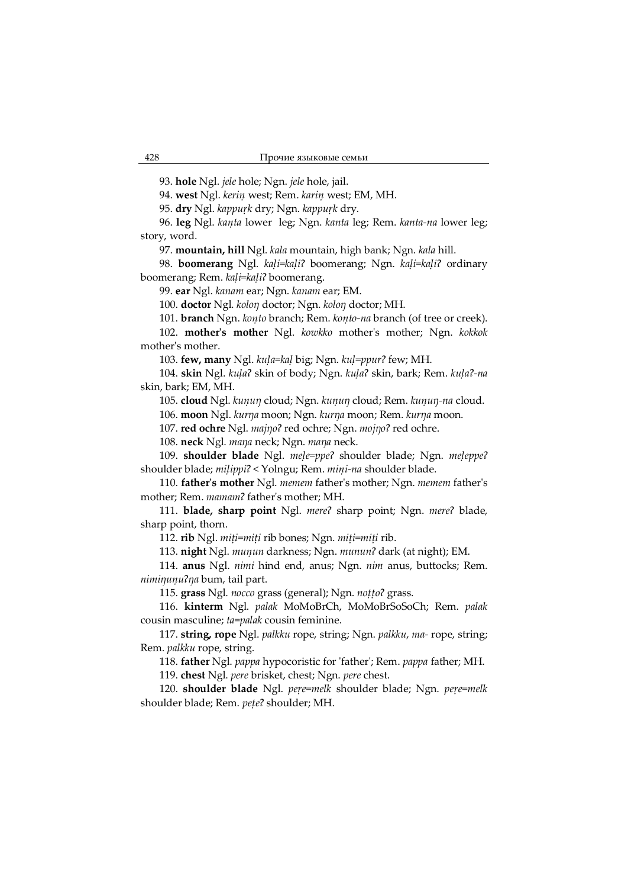93. **hole** Ngl. *jele* hole; Ngn. *jele* hole, jail.

94. **west** Ngl. *kerin* west; Rem. *karin* west; EM, MH.

95. **dry** Ngl. *kappurk* dry; Ngn. *kappurk* dry.

96. **leg** Ngl. *kanta* lower leg; Ngn. *kanta* leg; Rem. *kanta-na* lower leg; story, word.

97. **mountain, hill** Ngl. *kala* mountain, high bank; Ngn. *kala* hill.

98. **boomerang** Ngl. *kali=kaliʔ* boomerang; Ngn. *kali=kaliʔ* ordinary boomerang; Rem. *kali=kaliʔ* boomerang.

99. **ear** Ngl. *kanam* ear; Ngn. *kanam* ear; EM.

100. **doctor** Ngl. *koloŋ* doctor; Ngn. *koloŋ* doctor; MH.

101. **branch** Ngn. *konto* branch; Rem. *konto-na* branch (of tree or creek).

102. **mother's mother** Ngl. *kowkko* mother's mother; Ngn. *kokkok* mother's mother.

103. **few, many** Ngl. *kula=kal* big; Ngn. *kul=ppurʔ* few; MH.

104. **skin** Ngl. *kulaʔ* skin of body; Ngn. *kulaʔ* skin, bark; Rem. *kulaʔ-na* skin, bark; EM, MH.

105. **cloud** Ngl. *kunuŋ* cloud; Ngn. *kunuŋ* cloud; Rem. *kunuŋ-na* cloud.

106. **moon** Ngl. *kurŋa* moon; Ngn. *kurŋa* moon; Rem. *kurŋa* moon.

107. **red ochre** Ngl. *majŋoʔ* red ochre; Ngn. *mojŋoʔ* red ochre.

108. **neck** Ngl. *maŋa* neck; Ngn. *maŋa* neck.

109. **shoulder blade** Ngl. *mele=ppeʔ* shoulder blade; Ngn. *meleppeʔ* shoulder blade; *milippiʔ* < Yolngu; Rem. *mini-na* shoulder blade.

110. **father's mother** Ngl. *memem* father's mother; Ngn. *memem* father's mother; Rem. *mamamʔ* father's mother; MH.

111. **blade, sharp point** Ngl. *mereʔ* sharp point; Ngn. *mereʔ* blade, sharp point, thorn.

112. **rib** Ngl. *miṭi=miṭi* rib bones; Ngn. *miṭi=miṭi* rib.

113. **night** Ngl. *munun* darkness; Ngn. *mununʔ* dark (at night); EM.

114. **anus** Ngl. *nimi* hind end, anus; Ngn. *nim* anus, buttocks; Rem. *nimiŋunuʔŋa* bum, tail part.

115. **grass** Ngl. *nocco* grass (general); Ngn. *nottoʔ* grass.

116. **kinterm** Ngl. *palak* MoMoBrCh, MoMoBrSoSoCh; Rem. *palak* cousin masculine; *ta=palak* cousin feminine.

117. **string, rope** Ngl. *palkku* rope, string; Ngn. *palkku*, *ma-* rope, string; Rem. *palkku* rope, string.

118. **father** Ngl. *pappa* hypocoristic for 'father'; Rem. *pappa* father; MH.

119. **chest** Ngl. *pere* brisket, chest; Ngn. *pere* chest.

120. **shoulder blade** Ngl. *pere=melk* shoulder blade; Ngn. *pere=melk* shoulder blade; Rem. *peteʔ* shoulder; MH.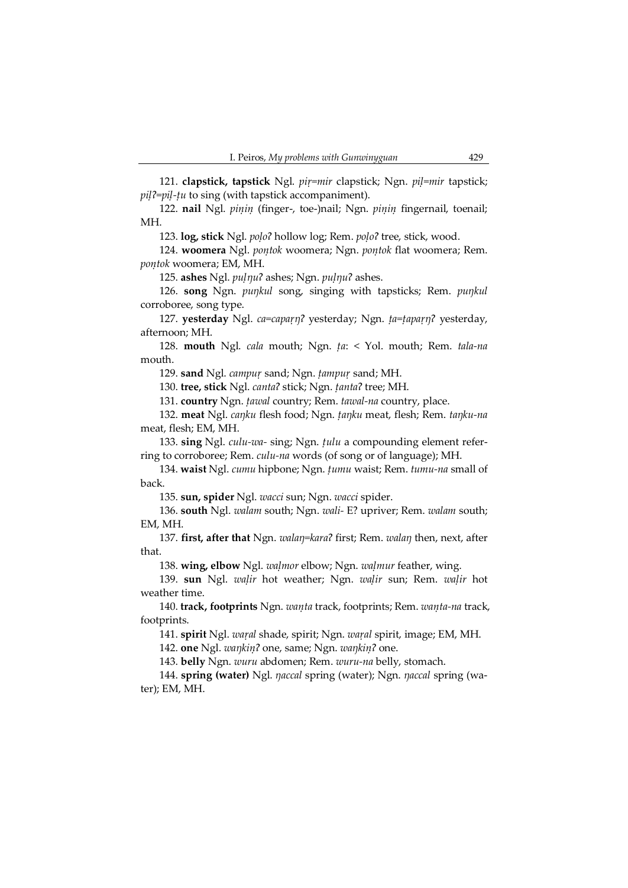121. **clapstick, tapstick** Ngl. *pir=mir* clapstick; Ngn. *pil=mir* tapstick; *pilʔ=pil-tu* to sing (with tapstick accompaniment).

122. **nail** Ngl. *pinin* (finger-, toe-)nail; Ngn. *pinin* fingernail, toenail; MH.

123. **log, stick** Ngl. *poloʔ* hollow log; Rem. *poloʔ* tree, stick, wood.

124. **woomera** Ngl. *pontok* woomera; Ngn. *pontok* flat woomera; Rem. *pontok* woomera; EM, MH.

125. **ashes** Ngl. *pulŋuʔ* ashes; Ngn. *pulŋuʔ* ashes.

126. **song** Ngn. *puŋkul* song, singing with tapsticks; Rem. *puŋkul* corroboree, song type.

127. **yesterday** Ngl. *ca=caparŋʔ* yesterday; Ngn. *ta=taparŋʔ* yesterday, afternoon; MH.

128. **mouth** Ngl. *cala* mouth; Ngn. *ta*: < Yol. mouth; Rem. *tala-na* mouth.

129. **sand** Ngl. *campur* sand; Ngn. *tampur* sand; MH.

130. **tree, stick** Ngl. *cantaʔ* stick; Ngn. *tantaʔ* tree; MH.

131. **country** Ngn. *tawal* country; Rem. *tawal-na* country, place.

132. **meat** Ngl. *caŋku* flesh food; Ngn. *taŋku* meat, flesh; Rem. *taŋku-na* meat, flesh; EM, MH.

133. **sing** Ngl. *culu-wa-* sing; Ngn. *tulu* a compounding element referring to corroboree; Rem. *culu-na* words (of song or of language); MH.

134. **waist** Ngl. *cumu* hipbone; Ngn. *tumu* waist; Rem. *tumu-na* small of back.

135. **sun, spider** Ngl. *wacci* sun; Ngn. *wacci* spider.

136. **south** Ngl. *walam* south; Ngn. *wali-* E? upriver; Rem. *walam* south; EM, MH.

137. **first, after that** Ngn. *walaŋ=karaʔ* first; Rem. *walaŋ* then, next, after that.

138. **wing, elbow** Ngl. *walmor* elbow; Ngn. *walmur* feather, wing.

139. **sun** Ngl. *walir* hot weather; Ngn. *walir* sun; Rem. *walir* hot weather time.

140. **track, footprints** Ngn. *wanta* track, footprints; Rem. *wanta-na* track, footprints.

141. **spirit** Ngl. *waral* shade, spirit; Ngn. *waral* spirit, image; EM, MH.

142. **one** Ngl. *waŋkinʔ* one, same; Ngn. *waŋkinʔ* one.

143. **belly** Ngn. *wuru* abdomen; Rem. *wuru-na* belly, stomach.

144. **spring (water)** Ngl. *ŋaccal* spring (water); Ngn. *ŋaccal* spring (water); EM, MH.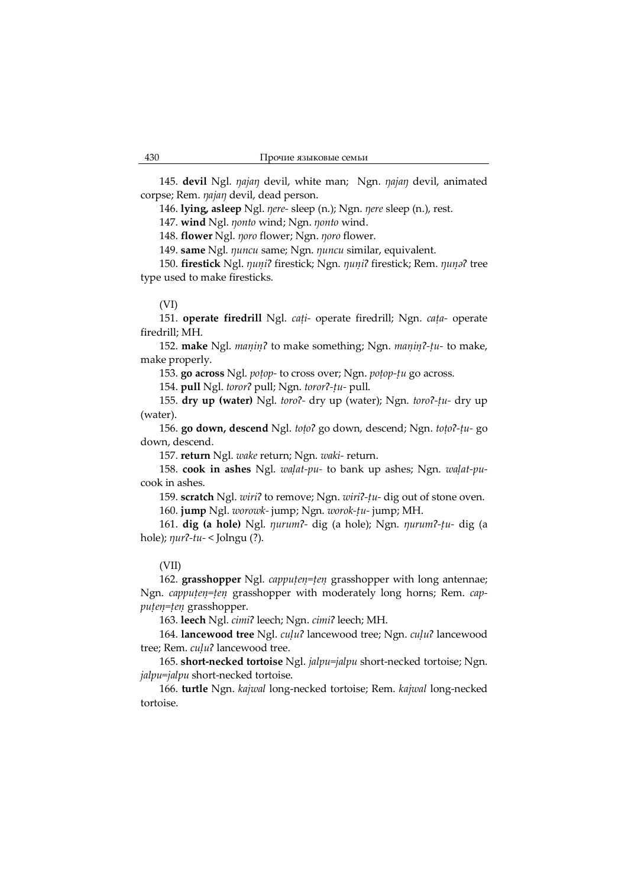145. **devil** Ngl. *ŋajaŋ* devil, white man; Ngn. *ŋajaŋ* devil, animated corpse; Rem. *ŋajaŋ* devil, dead person.

146. **lying, asleep** Ngl. *ŋere-* sleep (n.); Ngn. *ŋere* sleep (n.), rest.

147. **wind** Ngl. *ŋonto* wind; Ngn. *ŋonto* wind.

148. **flower** Ngl. *ŋoro* flower; Ngn. *ŋoro* flower.

149. **same** Ngl. *ŋuncu* same; Ngn. *ŋuncu* similar, equivalent.

150. **firestick** Ngl. *ŋuniʔ* firestick; Ngn. *ŋuniʔ* firestick; Rem. *ŋunəʔ* tree type used to make firesticks.

#### (VI)

151. **operate firedrill** Ngl. *caṭi-* operate firedrill; Ngn. *caṭa-* operate firedrill; MH.

152. **make** Ngl. *maninʔ* to make something; Ngn. *maninʔ-tu-* to make, make properly.

153. **go across** Ngl. *poṭop-* to cross over; Ngn. *poṭop-tu* go across.

154. **pull** Ngl. *tororʔ* pull; Ngn. *tororʔ-tu-* pull.

155. **dry up (water)** Ngl. *toroʔ-* dry up (water); Ngn. *toroʔ-tu-* dry up (water).

156. **go down, descend** Ngl. *toṭoʔ* go down, descend; Ngn. *toṭoʔ-ṭu-* go down, descend.

157. **return** Ngl. *wake* return; Ngn. *waki-* return.

158. **cook in ashes** Ngl. *walat-pu-* to bank up ashes; Ngn. *walat-pu*cook in ashes.

159. **scratch** Ngl. *wiriʔ* to remove; Ngn. *wiriʔ-tu-* dig out of stone oven. 160. **jump** Ngl. *worowk-* jump; Ngn. *worok-tu-* jump; MH.

161. **dig (a hole)** Ngl. *ŋurumʔ-* dig (a hole); Ngn. *ŋurumʔ-tu-* dig (a hole); *ŋurʔ-tu-* < Jolngu (?).

### (VII)

162. **grasshopper** Ngl. *capputen=ten* grasshopper with long antennae; Ngn. *capputen=ten* grasshopper with moderately long horns; Rem. *capputen=ten* grasshopper.

163. **leech** Ngl. *cimiʔ* leech; Ngn. *cimiʔ* leech; MH.

164. **lancewood tree** Ngl. *culuʔ* lancewood tree; Ngn. *culuʔ* lancewood tree; Rem. *culuʔ* lancewood tree.

165. **short-necked tortoise** Ngl. *jalpu=jalpu* short-necked tortoise; Ngn. *jalpu=jalpu* short-necked tortoise.

166. **turtle** Ngn. *kajwal* long-necked tortoise; Rem. *kajwal* long-necked tortoise.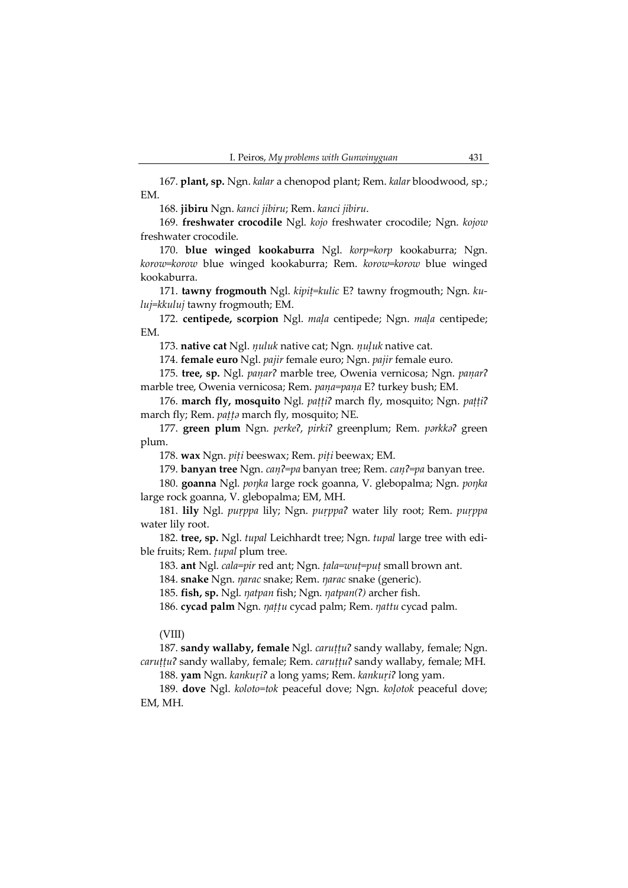167. **plant, sp.** Ngn. *kalar* a chenopod plant; Rem. *kalar* bloodwood, sp.; EM.

168. **jibiru** Ngn. *kanci jibiru*; Rem. *kanci jibiru*.

169. **freshwater crocodile** Ngl. *kojo* freshwater crocodile; Ngn. *kojow* freshwater crocodile.

170. **blue winged kookaburra** Ngl. *korp=korp* kookaburra; Ngn. *korow=korow* blue winged kookaburra; Rem. *korow=korow* blue winged kookaburra.

171. **tawny frogmouth** Ngl. *kipiṭ=kulic* E? tawny frogmouth; Ngn. *kuluj=kkuluj* tawny frogmouth; EM.

172. **centipede, scorpion** Ngl. *mala* centipede; Ngn. *mala* centipede; EM.

173. **native cat** Ngl. *nuluk* native cat; Ngn. *nuluk* native cat.

174. **female euro** Ngl. *pajir* female euro; Ngn. *pajir* female euro.

175. **tree, sp.** Ngl. *panarʔ* marble tree, Owenia vernicosa; Ngn. *panarʔ* marble tree, Owenia vernicosa; Rem. *pana=pana* E? turkey bush; EM.

176. **march fly, mosquito** Ngl. *paṭṭiʔ* march fly, mosquito; Ngn. *paṭṭiʔ* march fly; Rem. *pattə* march fly, mosquito; NE.

177. **green plum** Ngn. *perkeʔ*, *pirkiʔ* greenplum; Rem. *pərkkəʔ* green plum.

178. **wax** Ngn. *piti* beeswax; Rem. *piti* beewax; EM.

179. **banyan tree** Ngn. *canʔ=pa* banyan tree; Rem. *canʔ=pa* banyan tree.

180. **goanna** Ngl. *poŋka* large rock goanna, V. glebopalma; Ngn. *poŋka* large rock goanna, V. glebopalma; EM, MH.

181. **lily** Ngl. *purppa* lily; Ngn. *purppaʔ* water lily root; Rem. *purppa* water lily root.

182. **tree, sp.** Ngl. *tupal* Leichhardt tree; Ngn. *tupal* large tree with edible fruits; Rem. *tupal* plum tree.

183. **ant** Ngl. *cala=pir* red ant; Ngn. *tala=wuṭ=puṭ* small brown ant.

184. **snake** Ngn. *ŋarac* snake; Rem. *ŋarac* snake (generic).

185. **fish, sp.** Ngl. *ŋatpan* fish; Ngn. *ŋatpan(ʔ)* archer fish.

186. **cycad palm** Ngn. *ŋattu* cycad palm; Rem. *ŋattu* cycad palm.

## (VIII)

187. **sandy wallaby, female** Ngl. *caruṭṭuʔ* sandy wallaby, female; Ngn. *caruṭṭuʔ* sandy wallaby, female; Rem. *caruṭṭuʔ* sandy wallaby, female; MH.

188. **yam** Ngn. *kankuriʔ* a long yams; Rem. *kankuriʔ* long yam.

189. **dove** Ngl. *koloto=tok* peaceful dove; Ngn. *kolotok* peaceful dove; EM, MH.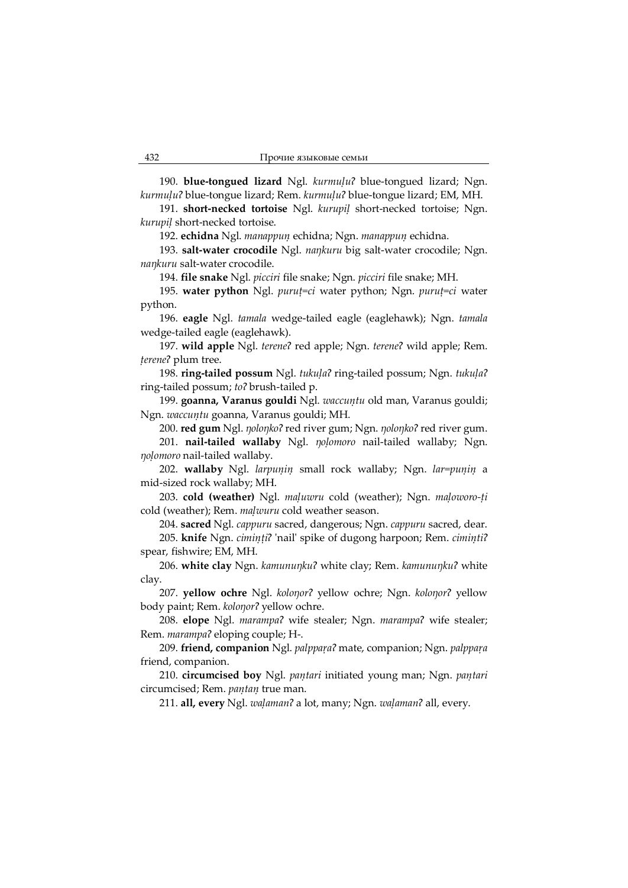190. **blue-tongued lizard** Ngl. *kurmuluʔ* blue-tongued lizard; Ngn. *kurmuluʔ* blue-tongue lizard; Rem. *kurmuluʔ* blue-tongue lizard; EM, MH.

191. **short-necked tortoise** Ngl. *kurupil* short-necked tortoise; Ngn. *kurupil* short-necked tortoise.

192. **echidna** Ngl. *manappun* echidna; Ngn. *manappun* echidna.

193. **salt-water crocodile** Ngl. *naŋkuru* big salt-water crocodile; Ngn. *naŋkuru* salt-water crocodile.

194. **file snake** Ngl. *picciri* file snake; Ngn. *picciri* file snake; MH.

195. **water python** Ngl. *puruṭ=ci* water python; Ngn. *puruṭ=ci* water python.

196. **eagle** Ngl. *tamala* wedge-tailed eagle (eaglehawk); Ngn. *tamala* wedge-tailed eagle (eaglehawk).

197. **wild apple** Ngl. *tereneʔ* red apple; Ngn. *tereneʔ* wild apple; Rem. *tereneʔ* plum tree.

198. **ring-tailed possum** Ngl. *tukulaʔ* ring-tailed possum; Ngn. *tukulaʔ* ring-tailed possum; *toʔ* brush-tailed p.

199. **goanna, Varanus gouldi** Ngl. *waccuntu* old man, Varanus gouldi; Ngn. *waccuntu* goanna, Varanus gouldi; MH.

200. **red gum** Ngl. *ŋoloŋkoʔ* red river gum; Ngn. *ŋoloŋkoʔ* red river gum.

201. **nail-tailed wallaby** Ngl. *ŋolomoro* nail-tailed wallaby; Ngn. *ŋolomoro* nail-tailed wallaby.

202. **wallaby** Ngl. *larpunin* small rock wallaby; Ngn. *lar=punin* a mid-sized rock wallaby; MH.

203. **cold (weather)** Ngl. *maluwru* cold (weather); Ngn. *maloworo-ti* cold (weather); Rem. *malwuru* cold weather season.

204. **sacred** Ngl. *cappuru* sacred, dangerous; Ngn. *cappuru* sacred, dear. 205. **knife** Ngn. *ciminṭiʔ* 'nail' spike of dugong harpoon; Rem. *cimintiʔ*

spear, fishwire; EM, MH.

206. **white clay** Ngn. *kamunuŋkuʔ* white clay; Rem. *kamunuŋkuʔ* white clay.

207. **yellow ochre** Ngl. *koloŋorʔ* yellow ochre; Ngn. *koloŋorʔ* yellow body paint; Rem. *koloŋorʔ* yellow ochre.

208. **elope** Ngl. *marampaʔ* wife stealer; Ngn. *marampaʔ* wife stealer; Rem. *marampaʔ* eloping couple; H-.

209. **friend, companion** Ngl. *palpparaʔ* mate, companion; Ngn. *palppara* friend, companion.

210. **circumcised boy** Ngl. *pantari* initiated young man; Ngn. *pantari* circumcised; Rem. *pantan* true man.

211. **all, every** Ngl. *walamanʔ* a lot, many; Ngn. *walamanʔ* all, every.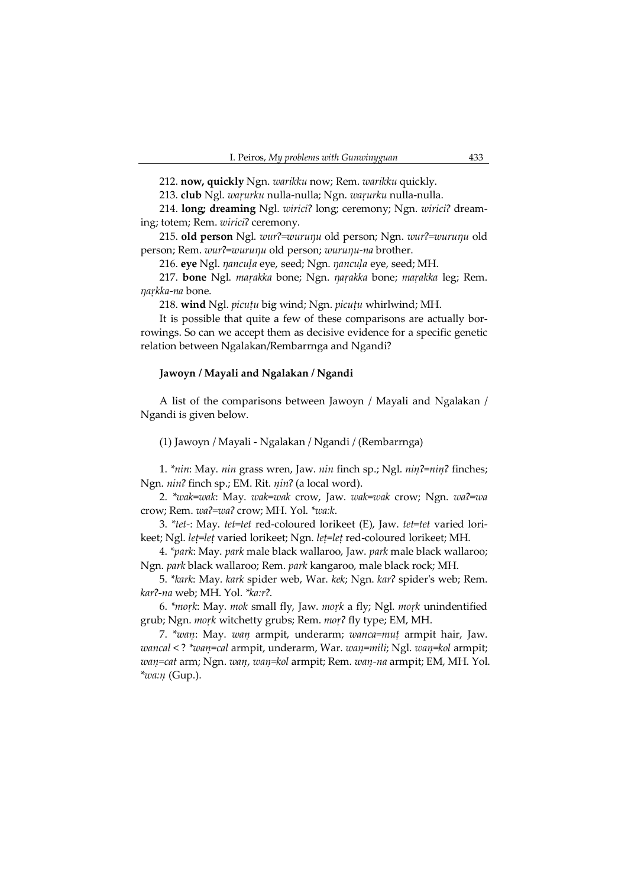212. **now, quickly** Ngn. *warikku* now; Rem. *warikku* quickly.

213. **club** Ngl. *warurku* nulla-nulla; Ngn. *warurku* nulla-nulla.

214. **long; dreaming** Ngl. *wiriciʔ* long; ceremony; Ngn. *wiriciʔ* dreaming; totem; Rem. *wiriciʔ* ceremony.

215. **old person** Ngl. *wurʔ=wuruŋu* old person; Ngn. *wurʔ=wuruŋu* old person; Rem. *wurʔ=wuruŋu* old person; *wuruŋu-na* brother.

216. **eye** Ngl. *ŋancula* eye, seed; Ngn. *ŋancula* eye, seed; MH.

217. **bone** Ngl. *marakka* bone; Ngn. *ŋarakka* bone; *marakka* leg; Rem. *ŋarkka-na* bone.

218. **wind** Ngl. *picuṭu* big wind; Ngn. *picuṭu* whirlwind; MH.

It is possible that quite a few of these comparisons are actually borrowings. So can we accept them as decisive evidence for a specific genetic relation between Ngalakan/Rembarrnga and Ngandi?

# **Jawoyn / Mayali and Ngalakan / Ngandi**

A list of the comparisons between Jawoyn / Mayali and Ngalakan / Ngandi is given below.

(1) Jawoyn / Mayali - Ngalakan / Ngandi / (Rembarrnga)

1. *\*nin*: May. *nin* grass wren, Jaw. *nin* finch sp.; Ngl. *ninʔ=ninʔ* finches; Ngn. *ninʔ* finch sp.; EM. Rit. *ninʔ* (a local word).

2. *\*wak=wak*: May. *wak=wak* crow, Jaw. *wak=wak* crow; Ngn. *waʔ=wa* crow; Rem. *waʔ=waʔ* crow; MH. Yol. *\*wa:k*.

3. *\*tet-*: May. *tet=tet* red-coloured lorikeet (E), Jaw. *tet=tet* varied lorikeet; Ngl. *leṭ=leṭ* varied lorikeet; Ngn. *leṭ=leṭ* red-coloured lorikeet; MH.

4. *\*park*: May. *park* male black wallaroo, Jaw. *park* male black wallaroo; Ngn. *park* black wallaroo; Rem. *park* kangaroo, male black rock; MH.

5. *\*kark*: May. *kark* spider web, War. *kek*; Ngn. *karʔ* spider's web; Rem. *karʔ-na* web; MH. Yol. *\*ka:rʔ*.

6. *\*mork*: May. *mok* small fly, Jaw. *mork* a fly; Ngl. *mork* unindentified grub; Ngn. *mork* witchetty grubs; Rem. *morʔ* fly type; EM, MH.

7. *\*wan*: May. *wan* armpit, underarm; *wanca=muṭ* armpit hair, Jaw. *wancal* < ? *\*wan=cal* armpit, underarm, War. *wan=mili*; Ngl. *wan=kol* armpit; *wan=cat* arm; Ngn. *wan*, *wan=kol* armpit; Rem. *wan-na* armpit; EM, MH. Yol. *\*wa:n* (Gup.).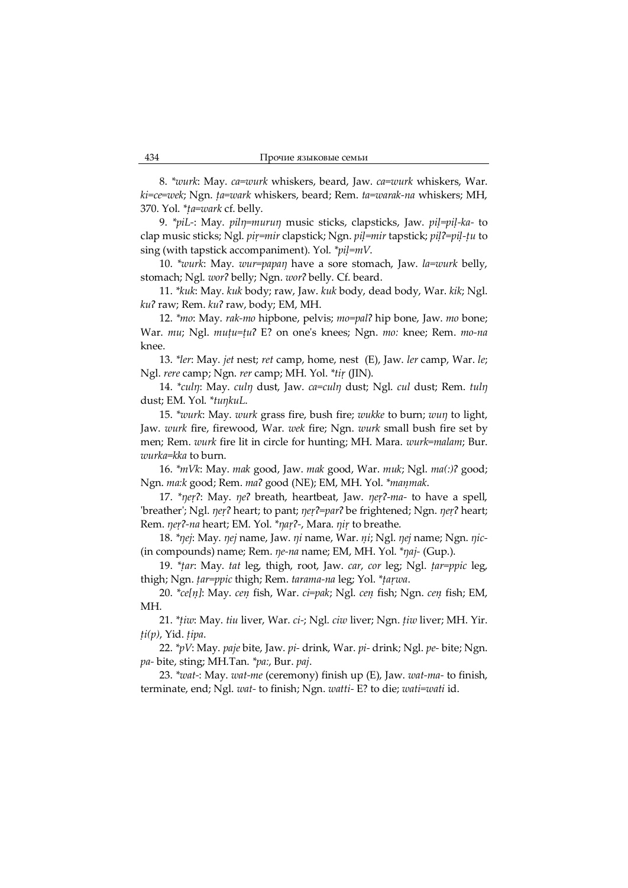8. *\*wurk*: May. *ca=wurk* whiskers, beard, Jaw. *ca=wurk* whiskers, War. *ki=ce=wek*; Ngn. *ta=wark* whiskers, beard; Rem. *ta=warak-na* whiskers; MH, 370. Yol. *\*ta=wark* cf. belly.

9. *\*piL-*: May. *pilŋ=muruŋ* music sticks, clapsticks, Jaw. *pil=pil-ka-* to clap music sticks; Ngl. *pir=mir* clapstick; Ngn. *pil=mir* tapstick; *pilʔ=pil-tu* to sing (with tapstick accompaniment). Yol. *\*pil=mV*.

10. *\*wurk*: May. *wur=papaŋ* have a sore stomach, Jaw. *la=wurk* belly, stomach; Ngl. *worʔ* belly; Ngn. *worʔ* belly. Cf. beard.

11. *\*kuk*: May. *kuk* body; raw, Jaw. *kuk* body, dead body, War. *kik*; Ngl. *kuʔ* raw; Rem. *kuʔ* raw, body; EM, MH.

12. *\*mo*: May. *rak-mo* hipbone, pelvis; *mo=palʔ* hip bone, Jaw. *mo* bone; War. *mu*; Ngl. *muṭu=ṭuʔ* E? on one's knees; Ngn. *mo:* knee; Rem. *mo-na* knee.

13. *\*ler*: May. *jet* nest; *ret* camp, home, nest (E), Jaw. *ler* camp, War. *le*; Ngl. *rere* camp; Ngn. *rer* camp; MH. Yol. *\*tir* (JIN).

14. *\*culŋ*: May. *culŋ* dust, Jaw. *ca=culŋ* dust; Ngl. *cul* dust; Rem. *tulŋ* dust; EM. Yol. *\*tuŋkuL*.

15. *\*wurk*: May. *wurk* grass fire, bush fire; *wukke* to burn; *wuŋ* to light, Jaw. *wurk* fire, firewood, War. *wek* fire; Ngn. *wurk* small bush fire set by men; Rem. *wurk* fire lit in circle for hunting; MH. Mara. *wurk=malam*; Bur. *wurka=kka* to burn.

16. *\*mVk*: May. *mak* good, Jaw. *mak* good, War. *muk*; Ngl. *ma(:)ʔ* good; Ngn. *ma:k* good; Rem. *maʔ* good (NE); EM, MH. Yol. *\*manmak*.

17. *\*ŋerʔ*: May. *ŋeʔ* breath, heartbeat, Jaw. *ŋerʔ-ma-* to have a spell, 'breather'; Ngl. *ŋerʔ* heart; to pant; *ŋerʔ=parʔ* be frightened; Ngn. *ŋerʔ* heart; Rem. *ŋerʔ-na* heart; EM. Yol. *\*ŋarʔ-*, Mara. *ŋir* to breathe.

18. *\*ŋej*: May. *ŋej* name, Jaw. *ŋi* name, War. *ni*; Ngl. *ŋej* name; Ngn. *ŋic-* (in compounds) name; Rem. *ŋe-na* name; EM, MH. Yol. *\*ŋaj-* (Gup.).

19. *\*tar*: May. *tat* leg, thigh, root, Jaw. *car*, *cor* leg; Ngl. *tar=ppic* leg, thigh; Ngn. *tar=ppic* thigh; Rem. *tarama-na* leg; Yol. *\*tarwa*.

20. *\*ce[n]*: May. *cen* fish, War. *ci=pak*; Ngl. *cen* fish; Ngn. *cen* fish; EM, MH.

21. *\*tiw*: May. *tiu* liver, War. *ci-*; Ngl. *ciw* liver; Ngn. *tiw* liver; MH. Yir. *ti(p)*, Yid. *tipa*.

22. *\*pV*: May. *paje* bite, Jaw. *pi-* drink, War. *pi-* drink; Ngl. *pe-* bite; Ngn. *pa-* bite, sting; MH.Tan. *\*pa:*, Bur. *paj*.

23. *\*wat-*: May. *wat-me* (ceremony) finish up (E), Jaw. *wat-ma-* to finish, terminate, end; Ngl. *wat-* to finish; Ngn. *watti-* E? to die; *wati=wati* id.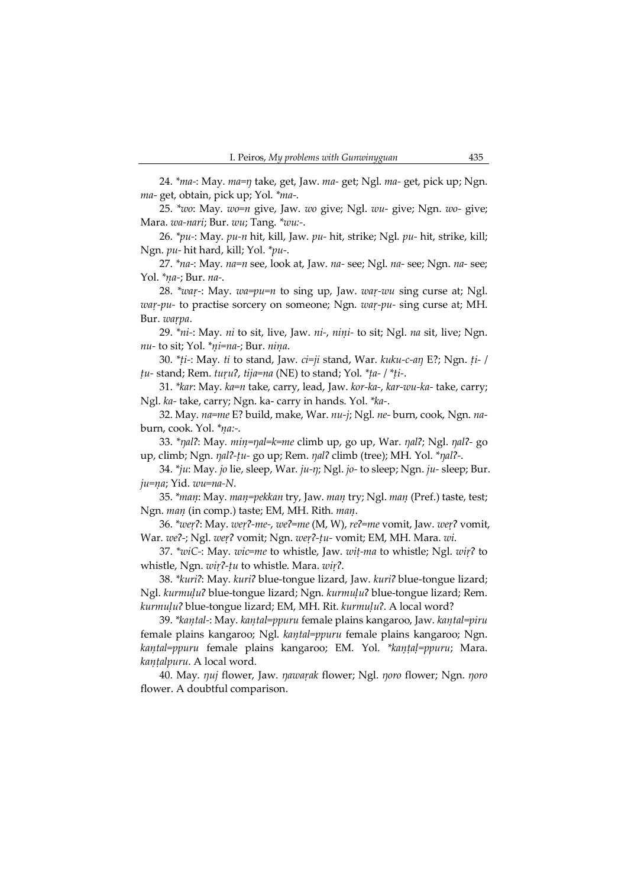24. *\*ma-*: May. *ma=ŋ* take, get, Jaw. *ma-* get; Ngl. *ma-* get, pick up; Ngn. *ma-* get, obtain, pick up; Yol. *\*ma-*.

25. *\*wo*: May. *wo=n* give, Jaw. *wo* give; Ngl. *wu-* give; Ngn. *wo-* give; Mara. *wa-nari*; Bur. *wu*; Tang. *\*wu:-*.

26. *\*pu-*: May. *pu-n* hit, kill, Jaw. *pu-* hit, strike; Ngl. *pu-* hit, strike, kill; Ngn. *pu-* hit hard, kill; Yol. *\*pu-*.

27. *\*na-*: May. *na=n* see, look at, Jaw. *na-* see; Ngl. *na-* see; Ngn. *na-* see; Yol. *\*na-*; Bur. *na-*.

28. *\*war-*: May. *wa=pu=n* to sing up, Jaw. *war-wu* sing curse at; Ngl. *war-pu-* to practise sorcery on someone; Ngn. *war-pu-* sing curse at; MH. Bur. *warpa*.

29. *\*ni-*: May. *ni* to sit, live, Jaw. *ni-*, *nini-* to sit; Ngl. *na* sit, live; Ngn. *nu-* to sit; Yol. *\*ni=na-*; Bur. *nina*.

30. *\*ti-*: May. *ti* to stand, Jaw. *ci=ji* stand, War. *kuku-c-aŋ* E?; Ngn. *ti-* / *tu-* stand; Rem. *turuʔ*, *tija=na* (NE) to stand; Yol. *\*ta-* / *\*ti-*.

31. *\*kar*: May. *ka=n* take, carry, lead, Jaw. *kor-ka-*, *kar-wu-ka-* take, carry; Ngl. *ka-* take, carry; Ngn. ka- carry in hands. Yol. *\*ka-*.

32. May. *na=me* E? build, make, War. *nu-j*; Ngl. *ne-* burn, cook, Ngn. *na*burn, cook. Yol. *\*na:-*.

33. *\*ŋalʔ*: May. *min=ŋal=k=me* climb up, go up, War. *ŋalʔ*; Ngl. *ŋalʔ-* go up, climb; Ngn. *ŋalʔ-tu-* go up; Rem. *ŋalʔ* climb (tree); MH. Yol. *\*ŋalʔ-*.

34. *\*ju*: May. *jo* lie, sleep, War. *ju-ŋ*; Ngl. *jo-* to sleep; Ngn. *ju-* sleep; Bur. *ju=na*; Yid. *wu=na-N*.

35. *\*man*: May. *man=pekkan* try, Jaw. *man* try; Ngl. *man* (Pref.) taste, test; Ngn. *man* (in comp.) taste; EM, MH. Rith. *man*.

36. *\*werʔ*: May. *werʔ-me-*, *weʔ=me* (M, W), *reʔ=me* vomit, Jaw. *werʔ* vomit, War. *weʔ-*; Ngl. *werʔ* vomit; Ngn. *werʔ-tu-* vomit; EM, MH. Mara. *wi*.

37. *\*wiC-*: May. *wic=me* to whistle, Jaw. *wiṭ-ma* to whistle; Ngl. *wirʔ* to whistle, Ngn. *wirʔ-tu* to whistle. Mara. *wirʔ*.

38. *\*kuriʔ*: May. *kuriʔ* blue-tongue lizard, Jaw. *kuriʔ* blue-tongue lizard; Ngl. *kurmuluʔ* blue-tongue lizard; Ngn. *kurmuluʔ* blue-tongue lizard; Rem. *kurmuluʔ* blue-tongue lizard; EM, MH. Rit. *kurmuluʔ*. A local word?

39. *\*kantal-*: May. *kantal=ppuru* female plains kangaroo, Jaw. *kantal=piru* female plains kangaroo; Ngl. *kantal=ppuru* female plains kangaroo; Ngn. *kantal=ppuru* female plains kangaroo; EM. Yol. *\*kanṭal=ppuru*; Mara. *kanṭalpuru*. A local word.

40. May. *ŋuj* flower, Jaw. *ŋawarak* flower; Ngl. *ŋoro* flower; Ngn. *ŋoro* flower. A doubtful comparison.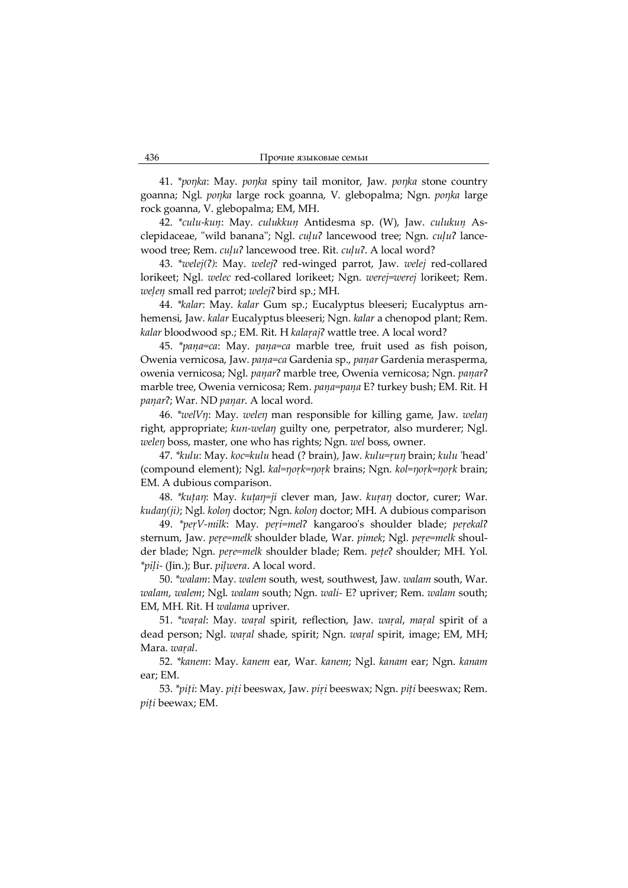41. *\*poŋka*: May. *poŋka* spiny tail monitor, Jaw. *poŋka* stone country goanna; Ngl. *poŋka* large rock goanna, V. glebopalma; Ngn. *poŋka* large rock goanna, V. glebopalma; EM, MH.

42. *\*culu-kun*: May. *culukkun* Antidesma sp. (W), Jaw. *culukun* Asclepidaceae, "wild banana"; Ngl. *culuʔ* lancewood tree; Ngn. *culuʔ* lancewood tree; Rem. *culuʔ* lancewood tree. Rit. *culuʔ*. A local word?

43. *\*welej(ʔ)*: May. *welejʔ* red-winged parrot, Jaw. *welej* red-collared lorikeet; Ngl. *welec* red-collared lorikeet; Ngn. *werej=werej* lorikeet; Rem. *welen* small red parrot; *welejʔ* bird sp.; MH.

44. *\*kalar*: May. *kalar* Gum sp.; Eucalyptus bleeseri; Eucalyptus arnhemensi, Jaw. *kalar* Eucalyptus bleeseri; Ngn. *kalar* a chenopod plant; Rem. *kalar* bloodwood sp.; EM. Rit. H *kalarajʔ* wattle tree. A local word?

45. *\*pana=ca*: May. *pana=ca* marble tree, fruit used as fish poison, Owenia vernicosa, Jaw. *pana=ca* Gardenia sp., *panar* Gardenia merasperma, owenia vernicosa; Ngl. *panarʔ* marble tree, Owenia vernicosa; Ngn. *panarʔ* marble tree, Owenia vernicosa; Rem. *pana=pana* E? turkey bush; EM. Rit. H *panarʔ*; War. ND *panar*. A local word.

46. *\*welVŋ*: May. *weleŋ* man responsible for killing game, Jaw. *welaŋ* right, appropriate; *kun-welaŋ* guilty one, perpetrator, also murderer; Ngl. *weleŋ* boss, master, one who has rights; Ngn. *wel* boss, owner.

47. *\*kulu*: May. *koc=kulu* head (? brain), Jaw. *kulu=ruŋ* brain; *kulu* 'head' (compound element); Ngl. *kal=ŋork=ŋork* brains; Ngn. *kol=ŋork=ŋork* brain; EM. A dubious comparison.

48. *\*kutaŋ*: May. *kuṭaŋ=ji* clever man, Jaw. *kuraŋ* doctor, curer; War. *kudaŋ(ji)*; Ngl. *koloŋ* doctor; Ngn. *koloŋ* doctor; MH. A dubious comparison

49. *\*perV-milk*: May. *peri=melʔ* kangaroo's shoulder blade; *perekalʔ* sternum, Jaw. *pere=melk* shoulder blade, War. *pimek*; Ngl. *pere=melk* shoulder blade; Ngn. *pere=melk* shoulder blade; Rem. *peteʔ* shoulder; MH. Yol. *\*pili-* (Jin.); Bur. *pilwera*. A local word.

50. *\*walam*: May. *walem* south, west, southwest, Jaw. *walam* south, War. *walam*, *walem*; Ngl. *walam* south; Ngn. *wali-* E? upriver; Rem. *walam* south; EM, MH. Rit. H *walama* upriver.

51. *\*waral*: May. *waral* spirit, reflection, Jaw. *waral*, *maral* spirit of a dead person; Ngl. *waral* shade, spirit; Ngn. *waral* spirit, image; EM, MH; Mara. *waral*.

52. *\*kanem*: May. *kanem* ear, War. *kanem*; Ngl. *kanam* ear; Ngn. *kanam* ear; EM.

53. *\*piti*: May. *piti* beeswax, Jaw. *piri* beeswax; Ngn. *piti* beeswax; Rem. *piti* beewax; EM.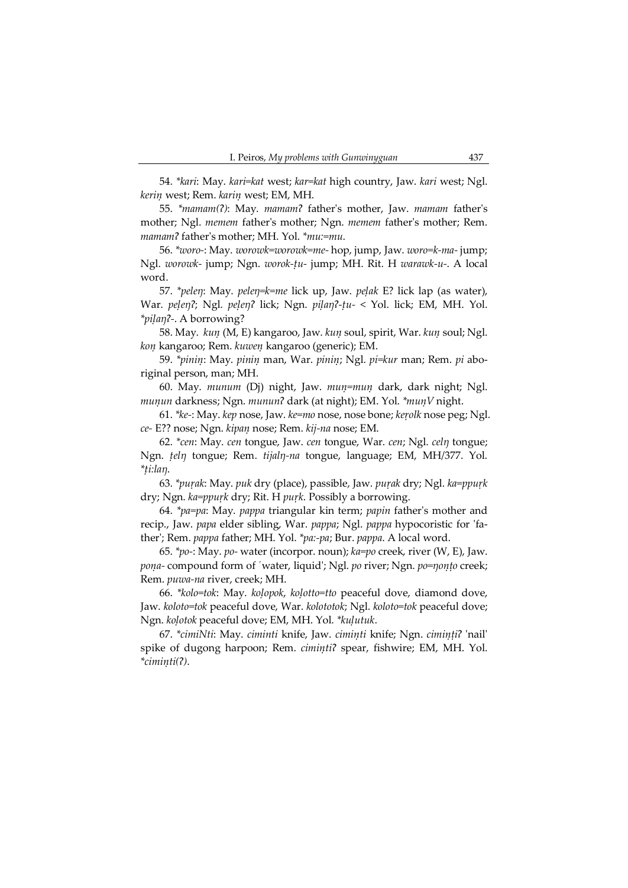54. *\*kari*: May. *kari=kat* west; *kar=kat* high country, Jaw. *kari* west; Ngl. *kerin* west; Rem. *karin* west; EM, MH.

55. *\*mamam(ʔ)*: May. *mamamʔ* father's mother, Jaw. *mamam* father's mother; Ngl. *memem* father's mother; Ngn. *memem* father's mother; Rem. *mamamʔ* father's mother; MH. Yol. *\*mu:=mu*.

56. *\*woro-*: May. *worowk=worowk=me-* hop, jump, Jaw. *woro=k-ma-* jump; Ngl. *worowk-* jump; Ngn. *worok-tu-* jump; MH. Rit. H *warawk-u-*. A local word.

57. *\*peleŋ*: May. *peleŋ=k=me* lick up, Jaw. *pelak* E? lick lap (as water), War. *peleŋʔ*; Ngl. *peleŋʔ* lick; Ngn. *pilaŋʔ-tu-* < Yol. lick; EM, MH. Yol. *\*pilaŋʔ-*. A borrowing?

58. May. *kun* (M, E) kangaroo, Jaw. *kun* soul, spirit, War. *kun* soul; Ngl. *kon* kangaroo; Rem. *kuwen* kangaroo (generic); EM.

59. *\*pinin*: May. *pinin* man, War. *pinin*; Ngl. *pi=kur* man; Rem. *pi* aboriginal person, man; MH.

60. May. *munum* (Dj) night, Jaw. *mun=mun* dark, dark night; Ngl. *munun* darkness; Ngn. *mununʔ* dark (at night); EM. Yol. *\*munV* night.

61. *\*ke-*: May. *kep* nose, Jaw. *ke=mo* nose, nose bone; *kerolk* nose peg; Ngl. *ce-* E?? nose; Ngn. *kipan* nose; Rem. *kij-na* nose; EM.

62. *\*cen*: May. *cen* tongue, Jaw. *cen* tongue, War. *cen*; Ngl. *celŋ* tongue; Ngn. *telŋ* tongue; Rem. *tijalŋ-na* tongue, language; EM, MH/377. Yol. *\*ti:laŋ*.

63. *\*purak*: May. *puk* dry (place), passible, Jaw. *purak* dry; Ngl. *ka=ppurk* dry; Ngn. *ka=ppurk* dry; Rit. H *purk*. Possibly a borrowing.

64. *\*pa=pa*: May. *pappa* triangular kin term; *papin* father's mother and recip., Jaw. *papa* elder sibling, War. *pappa*; Ngl. *pappa* hypocoristic for 'father'; Rem. *pappa* father; MH. Yol. *\*pa:-pa*; Bur. *pappa*. A local word.

65. *\*po-*: May. *po-* water (incorpor. noun); *ka=po* creek, river (W, E), Jaw. *pona-* compound form of ῾water, liquid'; Ngl. *po* river; Ngn. *po=ŋonṭo* creek; Rem. *puwa-na* river, creek; MH.

66. *\*kolo=tok*: May. *kolopok*, *kolotto=tto* peaceful dove, diamond dove, Jaw. *koloto=tok* peaceful dove, War. *kolototok*; Ngl. *koloto=tok* peaceful dove; Ngn. *kolotok* peaceful dove; EM, MH. Yol. *\*kulutuk*.

67. *\*cimiNti*: May. *ciminti* knife, Jaw. *ciminti* knife; Ngn. *ciminṭiʔ* 'nail' spike of dugong harpoon; Rem. *cimintiʔ* spear, fishwire; EM, MH. Yol. *\*ciminti(ʔ)*.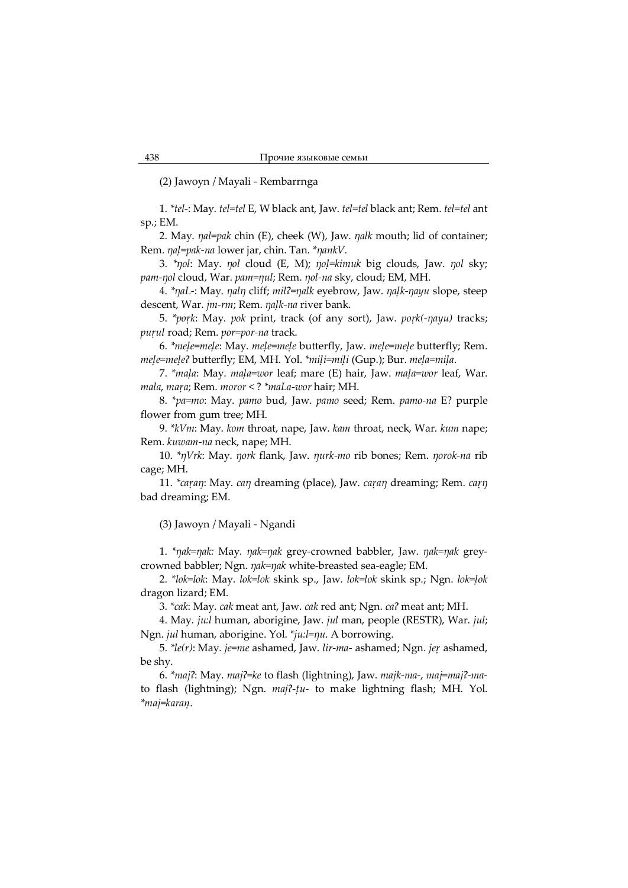(2) Jawoyn / Mayali - Rembarrnga

1. *\*tel-*: May. *tel=tel* E, W black ant, Jaw. *tel=tel* black ant; Rem. *tel=tel* ant sp.; EM.

2. May. *ŋal=pak* chin (E), cheek (W), Jaw. *ŋalk* mouth; lid of container; Rem. *ŋal=pak-na* lower jar, chin. Tan. *\*ŋankV*.

3. *\*ŋol*: May. *ŋol* cloud (E, M); *ŋol=kimuk* big clouds, Jaw. *ŋol* sky; *pam-ŋol* cloud, War. *pam=ŋul*; Rem. *ŋol-na* sky, cloud; EM, MH.

4. *\*ŋaL-*: May. *ŋalŋ* cliff; *milʔ=ŋalk* eyebrow, Jaw. *ŋalk-ŋayu* slope, steep descent, War. *jm-rm*; Rem. *ŋalk-na* river bank.

5. *\*pork*: May. *pok* print, track (of any sort), Jaw. *pork(-ŋayu)* tracks; *purul* road; Rem. *por=por-na* track.

6. *\*mele=mele*: May. *mele=mele* butterfly, Jaw. *mele=mele* butterfly; Rem. *mele=meleʔ* butterfly; EM, MH. Yol. *\*mili=mili* (Gup.); Bur. *mela=mila*.

7. *\*mala*: May. *mala=wor* leaf; mare (E) hair, Jaw. *mala=wor* leaf, War. *mala*, *mara*; Rem. *moror* < ? *\*maLa-wor* hair; MH.

8. *\*pa=mo*: May. *pamo* bud, Jaw. *pamo* seed; Rem. *pamo-na* E? purple flower from gum tree; MH.

9. *\*kVm*: May. *kom* throat, nape, Jaw. *kam* throat, neck, War. *kum* nape; Rem. *kuwam-na* neck, nape; MH.

10. *\*ŋVrk*: May. *ŋork* flank, Jaw. *ŋurk-mo* rib bones; Rem. *ŋorok-na* rib cage; MH.

11. *\*caraŋ*: May. *caŋ* dreaming (place), Jaw. *caraŋ* dreaming; Rem. *carŋ* bad dreaming; EM.

(3) Jawoyn / Mayali - Ngandi

1. *\*ŋak=ŋak:* May. *ŋak=ŋak* grey-crowned babbler, Jaw. *ŋak=ŋak* greycrowned babbler; Ngn. *ŋak=ŋak* white-breasted sea-eagle; EM.

2. *\*lok=lok*: May. *lok=lok* skink sp., Jaw. *lok=lok* skink sp.; Ngn. *lok=lok* dragon lizard; EM.

3. *\*cak*: May. *cak* meat ant, Jaw. *cak* red ant; Ngn. *caʔ* meat ant; MH.

4. May. *ju:l* human, aborigine, Jaw. *jul* man, people (RESTR), War. *jul*; Ngn. *jul* human, aborigine. Yol. *\*ju:l=ŋu*. A borrowing.

5. *\*le(r)*: May. *je=me* ashamed, Jaw. *lir-ma-* ashamed; Ngn. *jer* ashamed, be shy.

6. *\*majʔ*: May. *majʔ=ke* to flash (lightning), Jaw. *majk-ma-*, *maj=majʔ-ma*to flash (lightning); Ngn. *majʔ-tu-* to make lightning flash; MH. Yol. *\*maj=karan*.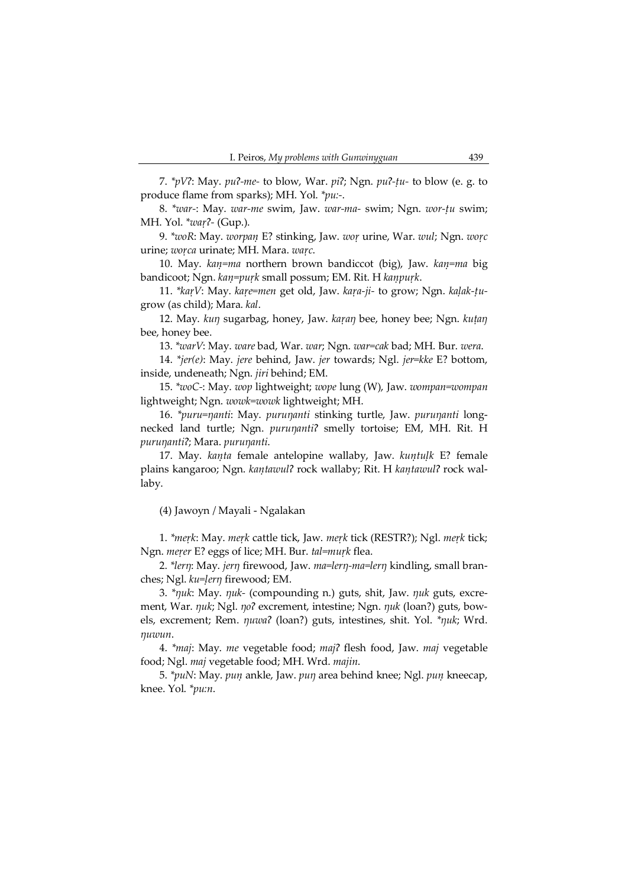7. *\*pVʔ*: May. *puʔ-me-* to blow, War. *piʔ*; Ngn. *puʔ-tu-* to blow (e. g. to produce flame from sparks); MH. Yol. *\*pu:-*.

8. *\*war-*: May. *war-me* swim, Jaw. *war-ma-* swim; Ngn. *wor-tu* swim; MH. Yol. *\*warʔ-* (Gup.).

9. *\*woR*: May. *worpan* E? stinking, Jaw. *wor* urine, War. *wul*; Ngn. *worc* urine; *worca* urinate; MH. Mara. *warc*.

10. May. *kan=ma* northern brown bandiccot (big), Jaw. *kan=ma* big bandicoot; Ngn. *kan=purk* small possum; EM. Rit. H *kanpurk*.

11. *\*karV*: May. *kare=men* get old, Jaw. *kara-ji-* to grow; Ngn. *kalak-tu*grow (as child); Mara. *kal*.

12. May. *kuŋ* sugarbag, honey, Jaw. *karaŋ* bee, honey bee; Ngn. *kuṭaŋ* bee, honey bee.

13. *\*warV*: May. *ware* bad, War. *war*; Ngn. *war=cak* bad; MH. Bur. *wera*.

14. *\*jer(e)*: May. *jere* behind, Jaw. *jer* towards; Ngl. *jer=kke* E? bottom, inside, undeneath; Ngn. *jiri* behind; EM.

15. *\*woC-*: May. *wop* lightweight; *wope* lung (W), Jaw. *wompan=wompan* lightweight; Ngn. *wowk=wowk* lightweight; MH.

16. *\*puru=ŋanti*: May. *puruŋanti* stinking turtle, Jaw. *puruŋanti* longnecked land turtle; Ngn. *puruŋantiʔ* smelly tortoise; EM, MH. Rit. H *puruŋantiʔ*; Mara. *puruŋanti*.

17. May. *kanta* female antelopine wallaby, Jaw. *kuntulk* E? female plains kangaroo; Ngn. *kantawulʔ* rock wallaby; Rit. H *kantawulʔ* rock wallaby.

(4) Jawoyn / Mayali - Ngalakan

1. *\*merk*: May. *merk* cattle tick, Jaw. *merk* tick (RESTR?); Ngl. *merk* tick; Ngn. *merer* E? eggs of lice; MH. Bur. *tal=murk* flea.

2. *\*lerŋ*: May. *jerŋ* firewood, Jaw. *ma=lerŋ-ma=lerŋ* kindling, small branches; Ngl. *ku=lerŋ* firewood; EM.

3. *\*ŋuk*: May. *ŋuk-* (compounding n.) guts, shit, Jaw. *ŋuk* guts, excrement, War. *ŋuk*; Ngl. *ŋoʔ* excrement, intestine; Ngn. *ŋuk* (loan?) guts, bowels, excrement; Rem. *ŋuwaʔ* (loan?) guts, intestines, shit. Yol. *\*ŋuk*; Wrd. *ŋuwun*.

4. *\*maj*: May. *me* vegetable food; *majʔ* flesh food, Jaw. *maj* vegetable food; Ngl. *maj* vegetable food; MH. Wrd. *majin*.

5. *\*puN*: May. *pun* ankle, Jaw. *puŋ* area behind knee; Ngl. *pun* kneecap, knee. Yol. *\*pu:n*.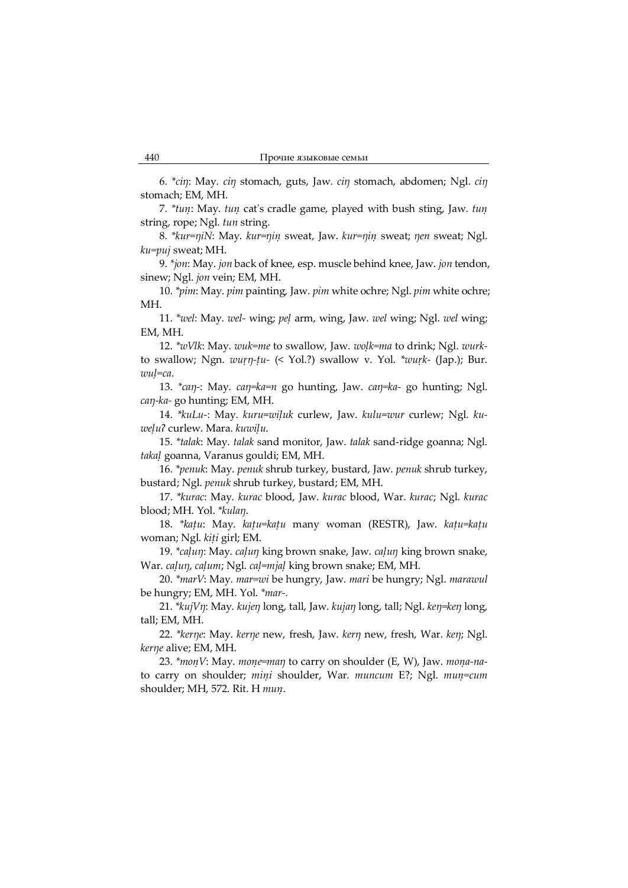6. *\*ciŋ*: May. *ciŋ* stomach, guts, Jaw. *ciŋ* stomach, abdomen; Ngl. *ciŋ* stomach; EM, MH.

7. *\*tun*: May. *tun* cat's cradle game, played with bush sting, Jaw. *tun* string, rope; Ngl. *tun* string.

8. *\*kur=ŋiN*: May. *kur=ŋin* sweat, Jaw. *kur=ŋin* sweat; *ŋen* sweat; Ngl. *ku=puj* sweat; MH.

9. *\*jon*: May. *jon* back of knee, esp. muscle behind knee, Jaw. *jon* tendon, sinew; Ngl. *jon* vein; EM, MH.

10. *\*pim*: May. *pim* painting, Jaw. *pim* white ochre; Ngl. *pim* white ochre; MH.

11. *\*wel*: May. *wel-* wing; *pel* arm, wing, Jaw. *wel* wing; Ngl. *wel* wing; EM, MH.

12. *\*wVlk*: May. *wuk=me* to swallow, Jaw. *wolk=ma* to drink; Ngl. *wurk*to swallow; Ngn. *wurŋ-tu-* (< Yol.?) swallow v. Yol. *\*wurk-* (Jap.); Bur. *wul=ca*.

13. *\*caŋ-*: May. *caŋ=ka=n* go hunting, Jaw. *caŋ=ka-* go hunting; Ngl. *caŋ-ka-* go hunting; EM, MH.

14. *\*kuLu-*: May. *kuru=wiluk* curlew, Jaw. *kulu=wur* curlew; Ngl. *kuweluʔ* curlew. Mara. *kuwilu*.

15. *\*talak*: May. *talak* sand monitor, Jaw. *talak* sand-ridge goanna; Ngl. *takal* goanna, Varanus gouldi; EM, MH.

16. *\*penuk*: May. *penuk* shrub turkey, bustard, Jaw. *penuk* shrub turkey, bustard; Ngl. *penuk* shrub turkey, bustard; EM, MH.

17. *\*kurac*: May. *kurac* blood, Jaw. *kurac* blood, War. *kurac*; Ngl. *kurac* blood; MH. Yol. *\*kulaŋ*.

18. *\*katu*: May. *katu=katu* many woman (RESTR), Jaw. *katu=katu* woman; Ngl. *kiti* girl; EM.

19. *\*caluŋ*: May. *caluŋ* king brown snake, Jaw. *caluŋ* king brown snake, War. *caluŋ*, *calum*; Ngl. *cal=mjal* king brown snake; EM, MH.

20. *\*marV*: May. *mar=wi* be hungry, Jaw. *mari* be hungry; Ngl. *marawul* be hungry; EM, MH. Yol. *\*mar-*.

21. *\*kujVŋ*: May. *kujeŋ* long, tall, Jaw. *kujaŋ* long, tall; Ngl. *keŋ=keŋ* long, tall; EM, MH.

22. *\*kerŋe*: May. *kerŋe* new, fresh, Jaw. *kerŋ* new, fresh, War. *keŋ*; Ngl. *kerŋe* alive; EM, MH.

23. *\*monV*: May. *mone=maŋ* to carry on shoulder (E, W), Jaw. *mona-na*to carry on shoulder; *mini* shoulder, War. *muncum* E?; Ngl. *mun=cum* shoulder; MH, 572. Rit. H *mun*.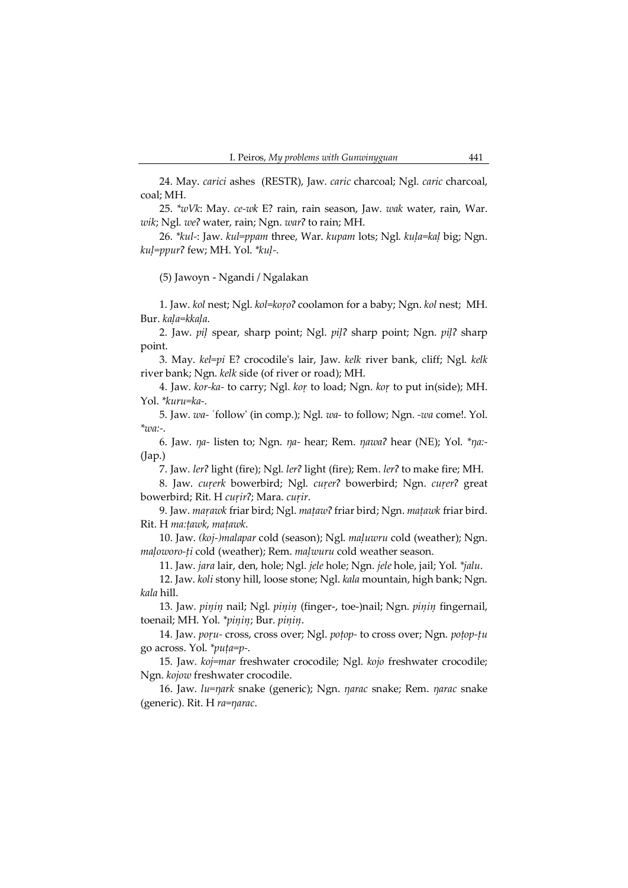24. May. *carici* ashes (RESTR), Jaw. *caric* charcoal; Ngl. *caric* charcoal, coal; MH.

25. *\*wVk*: May. *ce-wk* E? rain, rain season, Jaw. *wak* water, rain, War. *wik*; Ngl. *weʔ* water, rain; Ngn. *warʔ* to rain; MH.

26. *\*kul-*: Jaw. *kul=ppam* three, War. *kupam* lots; Ngl. *kula=kal* big; Ngn. *kul=ppurʔ* few; MH. Yol. *\*kul-*.

(5) Jawoyn - Ngandi / Ngalakan

1. Jaw. *kol* nest; Ngl. *kol=koroʔ* coolamon for a baby; Ngn. *kol* nest; MH. Bur. *kala=kkala*.

2. Jaw. *pil* spear, sharp point; Ngl. *pilʔ* sharp point; Ngn. *pilʔ* sharp point.

3. May. *kel=pi* E? crocodile's lair, Jaw. *kelk* river bank, cliff; Ngl. *kelk* river bank; Ngn. *kelk* side (of river or road); MH.

4. Jaw. *kor-ka-* to carry; Ngl. *kor* to load; Ngn. *kor* to put in(side); MH. Yol. *\*kuru=ka-*.

5. Jaw. *wa-* ῾follow' (in comp.); Ngl. *wa-* to follow; Ngn. *-wa* come!. Yol. *\*wa:-*.

6. Jaw. *ŋa-* listen to; Ngn. *ŋa-* hear; Rem. *ŋawaʔ* hear (NE); Yol. *\*ŋa:-* (Jap.)

7. Jaw. *lerʔ* light (fire); Ngl. *lerʔ* light (fire); Rem. *lerʔ* to make fire; MH.

8. Jaw. *curerk* bowerbird; Ngl. *curerʔ* bowerbird; Ngn. *curerʔ* great bowerbird; Rit. H *curirʔ*; Mara. *curir*.

9. Jaw. *marawk* friar bird; Ngl. *maṭawʔ* friar bird; Ngn. *maṭawk* friar bird. Rit. H *ma:ṭawk*, *maṭawk*.

10. Jaw. *(koj-)malapar* cold (season); Ngl. *maluwru* cold (weather); Ngn. *maloworo-ti* cold (weather); Rem. *malwuru* cold weather season.

11. Jaw. *jara* lair, den, hole; Ngl. *jele* hole; Ngn. *jele* hole, jail; Yol. *\*jalu*.

12. Jaw. *koli* stony hill, loose stone; Ngl. *kala* mountain, high bank; Ngn. *kala* hill.

13. Jaw. *pinin* nail; Ngl. *pinin* (finger-, toe-)nail; Ngn. *pinin* fingernail, toenail; MH. Yol. *\*pinin*; Bur. *pinin*.

14. Jaw. *poru-* cross, cross over; Ngl. *poṭop-* to cross over; Ngn. *poṭop-tu* go across. Yol. *\*puṭa=p-*.

15. Jaw. *koj=mar* freshwater crocodile; Ngl. *kojo* freshwater crocodile; Ngn. *kojow* freshwater crocodile.

16. Jaw. *lu=ŋark* snake (generic); Ngn. *ŋarac* snake; Rem. *ŋarac* snake (generic). Rit. H *ra=ŋarac*.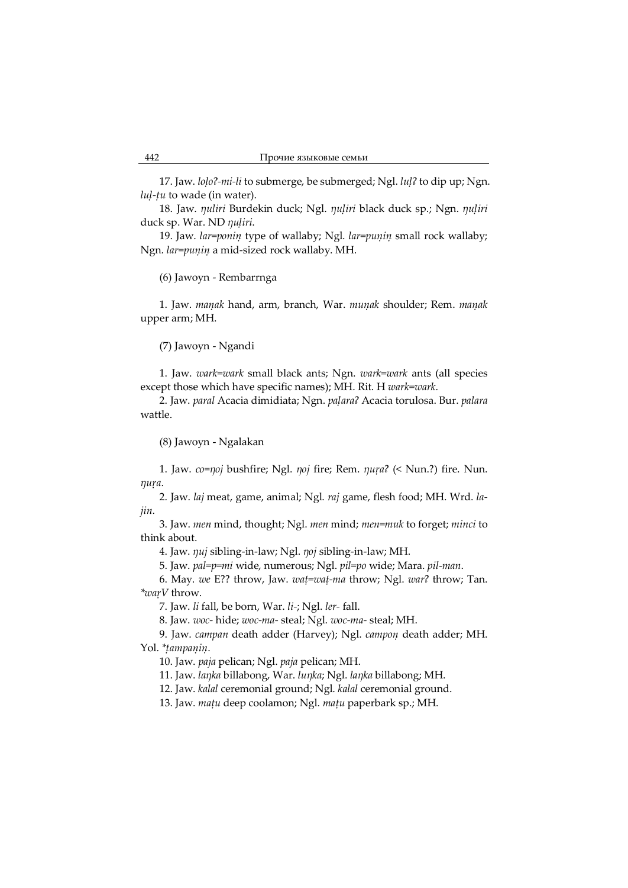17. Jaw. *loloʔ-mi-li* to submerge, be submerged; Ngl. *lulʔ* to dip up; Ngn. *lul-tu* to wade (in water).

18. Jaw. *ŋuliri* Burdekin duck; Ngl. *ŋuliri* black duck sp.; Ngn. *ŋuliri* duck sp. War. ND *ŋuliri*.

19. Jaw. *lar=ponin* type of wallaby; Ngl. *lar=punin* small rock wallaby; Ngn. *lar=punin* a mid-sized rock wallaby. MH.

(6) Jawoyn - Rembarrnga

1. Jaw. *manak* hand, arm, branch, War. *munak* shoulder; Rem. *manak* upper arm; MH.

(7) Jawoyn - Ngandi

1. Jaw. *wark=wark* small black ants; Ngn. *wark=wark* ants (all species except those which have specific names); MH. Rit. H *wark=wark*.

2. Jaw. *paral* Acacia dimidiata; Ngn. *palaraʔ* Acacia torulosa. Bur. *palara* wattle.

(8) Jawoyn - Ngalakan

1. Jaw. *co=ŋoj* bushfire; Ngl. *ŋoj* fire; Rem. *ŋuraʔ* (< Nun.?) fire. Nun. *ŋura*.

2. Jaw. *laj* meat, game, animal; Ngl. *raj* game, flesh food; MH. Wrd. *lajin*.

3. Jaw. *men* mind, thought; Ngl. *men* mind; *men=muk* to forget; *minci* to think about.

4. Jaw. *ŋuj* sibling-in-law; Ngl. *ŋoj* sibling-in-law; MH.

5. Jaw. *pal=p=mi* wide, numerous; Ngl. *pil=po* wide; Mara. *pil-man*.

6. May. *we* E?? throw, Jaw. *waṭ=waṭ-ma* throw; Ngl. *warʔ* throw; Tan. *\*warV* throw.

7. Jaw. *li* fall, be born, War. *li-*; Ngl. *ler-* fall.

8. Jaw. *woc-* hide; *woc-ma-* steal; Ngl. *woc-ma-* steal; MH.

9. Jaw. *campan* death adder (Harvey); Ngl. *campon* death adder; MH. Yol. *\*tampanin*.

10. Jaw. *paja* pelican; Ngl. *paja* pelican; MH.

11. Jaw. *laŋka* billabong, War. *luŋka*; Ngl. *laŋka* billabong; MH.

12. Jaw. *kalal* ceremonial ground; Ngl. *kalal* ceremonial ground.

13. Jaw. *maṭu* deep coolamon; Ngl. *maṭu* paperbark sp.; MH.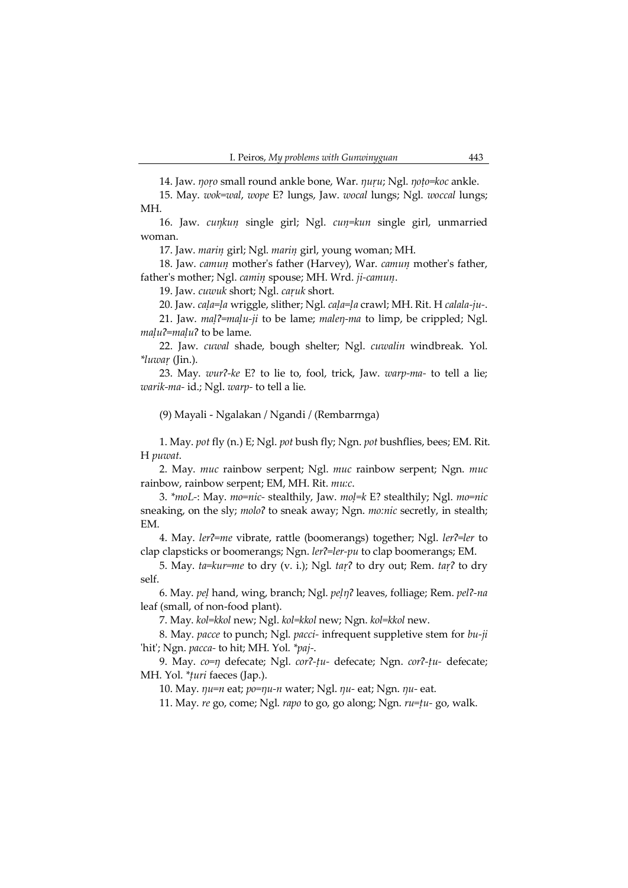14. Jaw. *ŋoro* small round ankle bone, War. *ŋuru*; Ngl. *ŋoṭo=koc* ankle.

15. May. *wok=wal*, *wope* E? lungs, Jaw. *wocal* lungs; Ngl. *woccal* lungs; MH.

16. Jaw. *cuŋkun* single girl; Ngl. *cun=kun* single girl, unmarried woman.

17. Jaw. *marin* girl; Ngl. *marin* girl, young woman; MH.

18. Jaw. *camun* mother's father (Harvey), War. *camun* mother's father, father's mother; Ngl. *camin* spouse; MH. Wrd. *ji-camun*.

19. Jaw. *cuwuk* short; Ngl. *caruk* short.

20. Jaw. *cala=la* wriggle, slither; Ngl. *cala=la* crawl; MH. Rit. H *calala-ju-*.

21. Jaw. *malʔ=malu-ji* to be lame; *maleŋ-ma* to limp, be crippled; Ngl. *maluʔ=maluʔ* to be lame.

22. Jaw. *cuwal* shade, bough shelter; Ngl. *cuwalin* windbreak. Yol. *\*luwar* (Jin.).

23. May. *wurʔ-ke* E? to lie to, fool, trick, Jaw. *warp-ma-* to tell a lie; *warik-ma-* id.; Ngl. *warp-* to tell a lie.

(9) Mayali - Ngalakan / Ngandi / (Rembarrnga)

1. May. *pot* fly (n.) E; Ngl. *pot* bush fly; Ngn. *pot* bushflies, bees; EM. Rit. H *puwat*.

2. May. *muc* rainbow serpent; Ngl. *muc* rainbow serpent; Ngn. *muc* rainbow, rainbow serpent; EM, MH. Rit. *mu:c*.

3. *\*moL-*: May. *mo=nic-* stealthily, Jaw. *mol=k* E? stealthily; Ngl. *mo=nic* sneaking, on the sly; *moloʔ* to sneak away; Ngn. *mo:nic* secretly, in stealth; EM.

4. May. *lerʔ=me* vibrate, rattle (boomerangs) together; Ngl. *lerʔ=ler* to clap clapsticks or boomerangs; Ngn. *lerʔ=ler-pu* to clap boomerangs; EM.

5. May. *ta=kur=me* to dry (v. i.); Ngl. *tarʔ* to dry out; Rem. *tarʔ* to dry self.

6. May. *pel* hand, wing, branch; Ngl. *pelŋʔ* leaves, folliage; Rem. *pelʔ-na* leaf (small, of non-food plant).

7. May. *kol=kkol* new; Ngl. *kol=kkol* new; Ngn. *kol=kkol* new.

8. May. *pacce* to punch; Ngl. *pacci-* infrequent suppletive stem for *bu-ji* 'hit'; Ngn. *pacca-* to hit; MH. Yol. *\*paj-*.

9. May. *co=ŋ* defecate; Ngl. *corʔ-tu-* defecate; Ngn. *corʔ-tu-* defecate; MH. Yol. *\*turi* faeces (Jap.).

10. May. *ŋu=n* eat; *po=ŋu-n* water; Ngl. *ŋu-* eat; Ngn. *ŋu-* eat.

11. May. *re* go, come; Ngl. *rapo* to go, go along; Ngn. *ru=tu-* go, walk.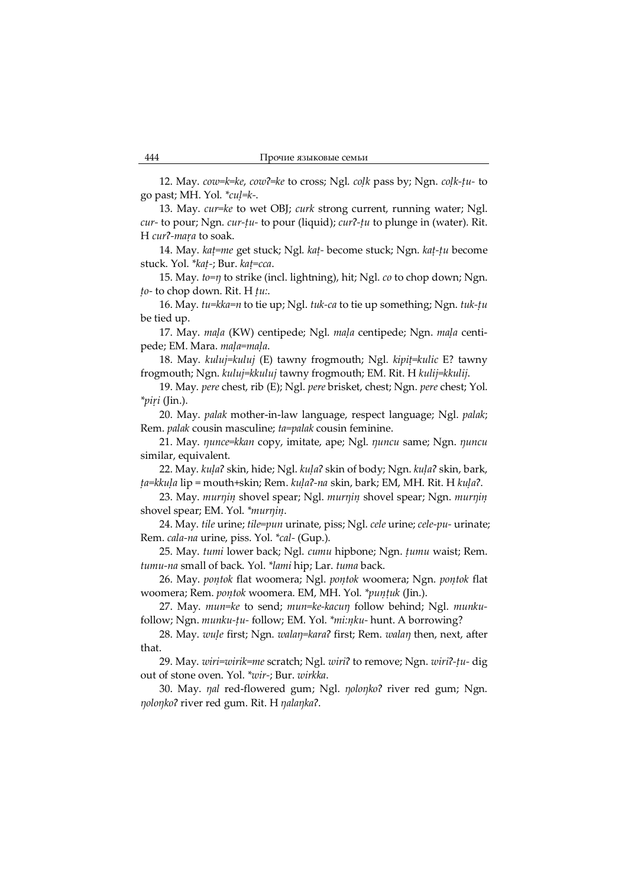12. May. *cow=k=ke*, *cowʔ=ke* to cross; Ngl. *colk* pass by; Ngn. *colk-tu-* to go past; MH. Yol. *\*cul=k-*.

13. May. *cur=ke* to wet OBJ; *curk* strong current, running water; Ngl. *cur-* to pour; Ngn. *cur-tu-* to pour (liquid); *curʔ-tu* to plunge in (water). Rit. H *curʔ-mara* to soak.

14. May. *kaṭ=me* get stuck; Ngl. *kaṭ-* become stuck; Ngn. *kaṭ-tu* become stuck. Yol. *\*kat-*; Bur. *kaṭ=cca*.

15. May. *to=ŋ* to strike (incl. lightning), hit; Ngl. *co* to chop down; Ngn. *to-* to chop down. Rit. H *tu:*.

16. May. *tu=kka=n* to tie up; Ngl. *tuk-ca* to tie up something; Ngn. *tuk-tu* be tied up.

17. May. *mala* (KW) centipede; Ngl. *mala* centipede; Ngn. *mala* centipede; EM. Mara. *mala=mala*.

18. May. *kuluj=kuluj* (E) tawny frogmouth; Ngl. *kipiṭ=kulic* E? tawny frogmouth; Ngn. *kuluj=kkuluj* tawny frogmouth; EM. Rit. H *kulij=kkulij*.

19. May. *pere* chest, rib (E); Ngl. *pere* brisket, chest; Ngn. *pere* chest; Yol. *\*piri* (Jin.).

20. May. *palak* mother-in-law language, respect language; Ngl. *palak*; Rem. *palak* cousin masculine; *ta=palak* cousin feminine.

21. May. *ŋunce=kkan* copy, imitate, ape; Ngl. *ŋuncu* same; Ngn. *ŋuncu* similar, equivalent.

22. May. *kulaʔ* skin, hide; Ngl. *kulaʔ* skin of body; Ngn. *kulaʔ* skin, bark, *ta=kkula* lip = mouth+skin; Rem. *kulaʔ-na* skin, bark; EM, MH. Rit. H *kulaʔ*.

23. May. *murŋin* shovel spear; Ngl. *murŋin* shovel spear; Ngn. *murŋin* shovel spear; EM. Yol. *\*murŋin*.

24. May. *tile* urine; *tile=pun* urinate, piss; Ngl. *cele* urine; *cele-pu-* urinate; Rem. *cala-na* urine, piss. Yol. *\*cal-* (Gup.).

25. May. *tumi* lower back; Ngl. *cumu* hipbone; Ngn. *tumu* waist; Rem. *tumu-na* small of back. Yol. *\*lami* hip; Lar. *tuma* back.

26. May. *pontok* flat woomera; Ngl. *pontok* woomera; Ngn. *pontok* flat woomera; Rem. *pontok* woomera. EM, MH. Yol. *\*punṭuk* (Jin.).

27. May. *mun=ke* to send; *mun=ke-kacuŋ* follow behind; Ngl. *munku*follow; Ngn. *munku-tu-* follow; EM. Yol. *\*mi:nku-* hunt. A borrowing?

28. May. *wule* first; Ngn. *walaŋ=karaʔ* first; Rem. *walaŋ* then, next, after that.

29. May. *wiri=wirik=me* scratch; Ngl. *wiriʔ* to remove; Ngn. *wiriʔ-tu-* dig out of stone oven. Yol. *\*wir-*; Bur. *wirkka*.

30. May. *ŋal* red-flowered gum; Ngl. *ŋoloŋkoʔ* river red gum; Ngn. *ŋoloŋkoʔ* river red gum. Rit. H *ŋalaŋkaʔ*.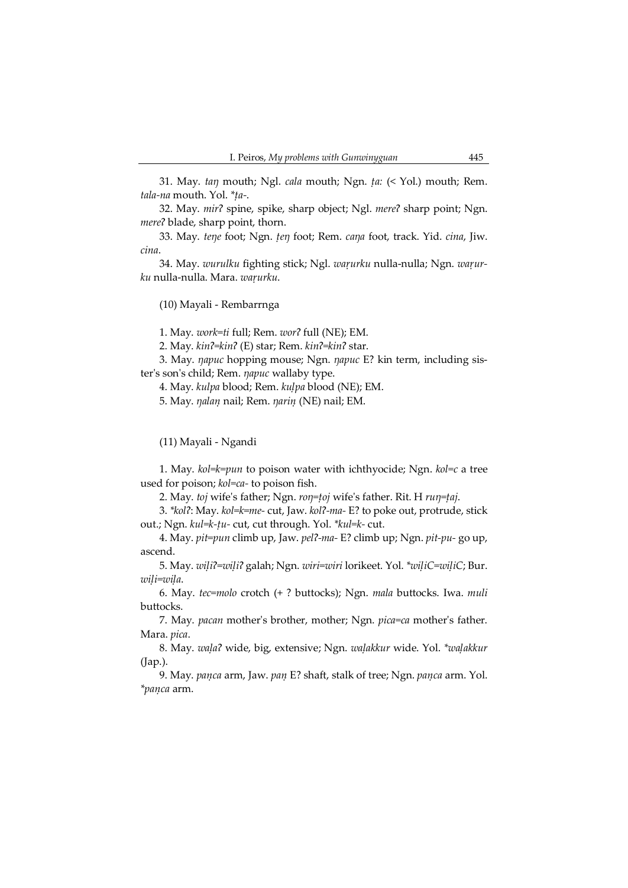31. May. *taŋ* mouth; Ngl. *cala* mouth; Ngn. *ta:* (< Yol.) mouth; Rem. *tala-na* mouth. Yol. *\*ta-*.

32. May. *mirʔ* spine, spike, sharp object; Ngl. *mereʔ* sharp point; Ngn. *mereʔ* blade, sharp point, thorn.

33. May. *teŋe* foot; Ngn. *teŋ* foot; Rem. *caŋa* foot, track. Yid. *cina*, Jiw. *cina*.

34. May. *wurulku* fighting stick; Ngl. *warurku* nulla-nulla; Ngn. *warurku* nulla-nulla. Mara. *warurku*.

(10) Mayali - Rembarrnga

1. May. *work=ti* full; Rem. *worʔ* full (NE); EM.

2. May. *kinʔ=kinʔ* (E) star; Rem. *kinʔ=kinʔ* star.

3. May. *ŋapuc* hopping mouse; Ngn. *ŋapuc* E? kin term, including sister's son's child; Rem. *ŋapuc* wallaby type.

4. May. *kulpa* blood; Rem. *kulpa* blood (NE); EM.

5. May. *ŋalan* nail; Rem. *ŋarin* (NE) nail; EM.

(11) Mayali - Ngandi

1. May. *kol=k=pun* to poison water with ichthyocide; Ngn. *kol=c* a tree used for poison; *kol=ca-* to poison fish.

2. May. *toj* wife's father; Ngn. *roŋ=toj* wife's father. Rit. H *ruŋ=taj*.

3. *\*kolʔ*: May. *kol=k=me-* cut, Jaw. *kolʔ-ma-* E? to poke out, protrude, stick out.; Ngn. *kul=k-tu-* cut, cut through. Yol. *\*kul=k-* cut.

4. May. *pit=pun* climb up, Jaw. *pelʔ-ma-* E? climb up; Ngn. *pit-pu-* go up, ascend.

5. May. *wiliʔ=wiliʔ* galah; Ngn. *wiri=wiri* lorikeet. Yol. *\*wiliC=wiliC*; Bur. *wili=wila*.

6. May. *tec=molo* crotch (+ ? buttocks); Ngn. *mala* buttocks. Iwa. *muli* buttocks.

7. May. *pacan* mother's brother, mother; Ngn. *pica=ca* mother's father. Mara. *pica*.

8. May. *walaʔ* wide, big, extensive; Ngn. *walakkur* wide. Yol. *\*walakkur* (Jap.).

9. May. *panca* arm, Jaw. *pan* E? shaft, stalk of tree; Ngn. *panca* arm. Yol. *\*panca* arm.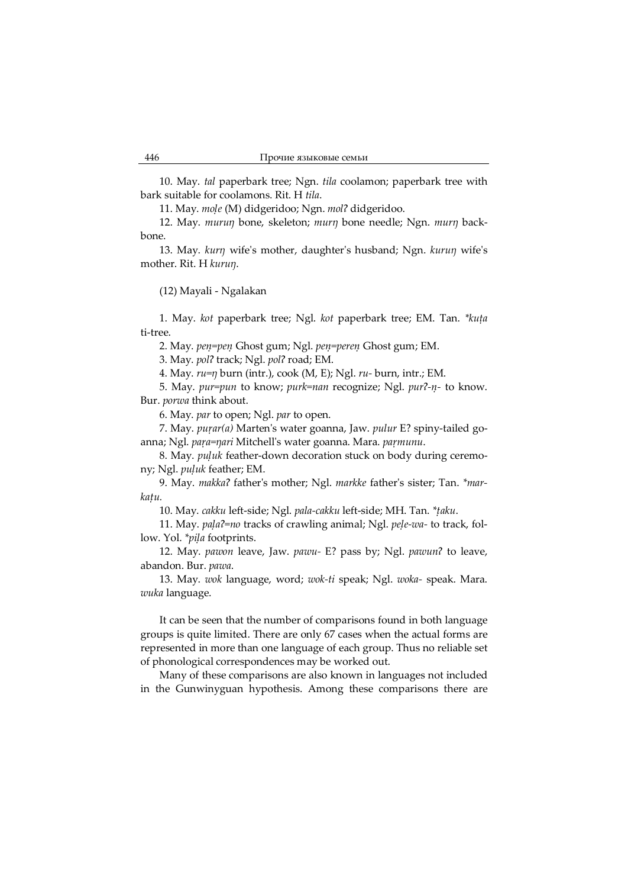10. May. *tal* paperbark tree; Ngn. *tila* coolamon; paperbark tree with bark suitable for coolamons. Rit. H *tila*.

11. May. *mole* (M) didgeridoo; Ngn. *molʔ* didgeridoo.

12. May. *muruŋ* bone, skeleton; *murŋ* bone needle; Ngn. *murŋ* backbone.

13. May. *kurŋ* wife's mother, daughter's husband; Ngn. *kuruŋ* wife's mother. Rit. H *kuruŋ*.

(12) Mayali - Ngalakan

1. May. *kot* paperbark tree; Ngl. *kot* paperbark tree; EM. Tan. *\*kuṭa* ti-tree.

2. May. *pen=pen* Ghost gum; Ngl. *pen=peren* Ghost gum; EM.

3. May. *polʔ* track; Ngl. *polʔ* road; EM.

4. May. *ru=ŋ* burn (intr.), cook (M, E); Ngl. *ru-* burn, intr.; EM.

5. May. *pur=pun* to know; *purk=nan* recognize; Ngl. *purʔ-n-* to know. Bur. *porwa* think about.

6. May. *par* to open; Ngl. *par* to open.

7. May. *purar(a)* Marten's water goanna, Jaw. *pulur* E? spiny-tailed goanna; Ngl. *para=ŋari* Mitchell's water goanna. Mara. *parmunu*.

8. May. *puluk* feather-down decoration stuck on body during ceremony; Ngl. *puluk* feather; EM.

9. May. *makkaʔ* father's mother; Ngl. *markke* father's sister; Tan. *\*markatu.*

10. May. *cakku* left-side; Ngl. *pala-cakku* left-side; MH. Tan. *\*taku*.

11. May. *palaʔ=no* tracks of crawling animal; Ngl. *pele-wa-* to track, follow. Yol. *\*pila* footprints.

12. May. *pawon* leave, Jaw. *pawu-* E? pass by; Ngl. *pawunʔ* to leave, abandon. Bur. *pawa*.

13. May. *wok* language, word; *wok-ti* speak; Ngl. *woka-* speak. Mara. *wuka* language.

It can be seen that the number of comparisons found in both language groups is quite limited. There are only 67 cases when the actual forms are represented in more than one language of each group. Thus no reliable set of phonological correspondences may be worked out.

Many of these comparisons are also known in languages not included in the Gunwinyguan hypothesis. Among these comparisons there are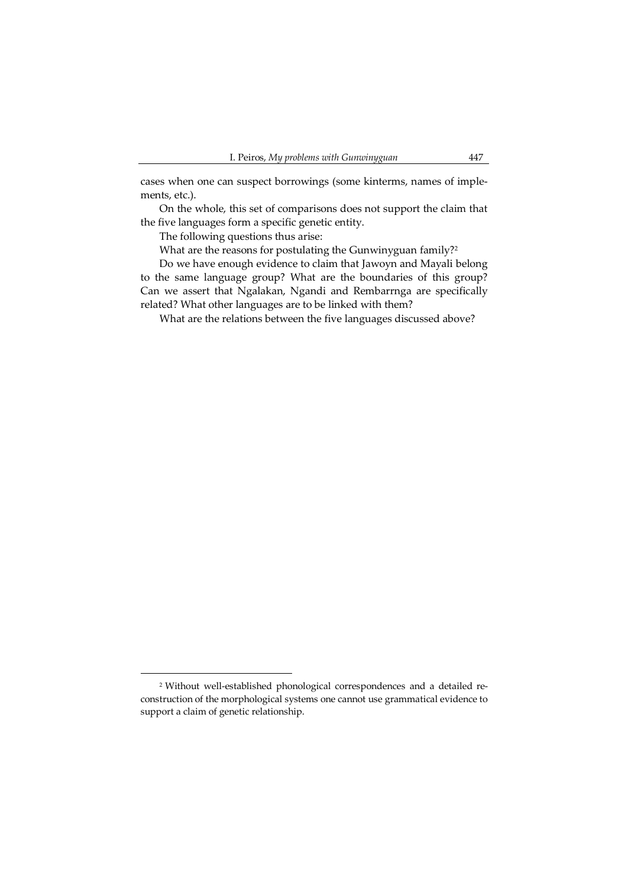cases when one can suspect borrowings (some kinterms, names of implements, etc.).

On the whole, this set of comparisons does not support the claim that the five languages form a specific genetic entity.

The following questions thus arise:

What are the reasons for postulating the Gunwinyguan family?<sup>2</sup>

Do we have enough evidence to claim that Jawoyn and Mayali belong to the same language group? What are the boundaries of this group? Can we assert that Ngalakan, Ngandi and Rembarrnga are specifically related? What other languages are to be linked with them?

What are the relations between the five languages discussed above?

 $\overline{a}$ 

<sup>2</sup> Without well-established phonological correspondences and a detailed reconstruction of the morphological systems one cannot use grammatical evidence to support a claim of genetic relationship.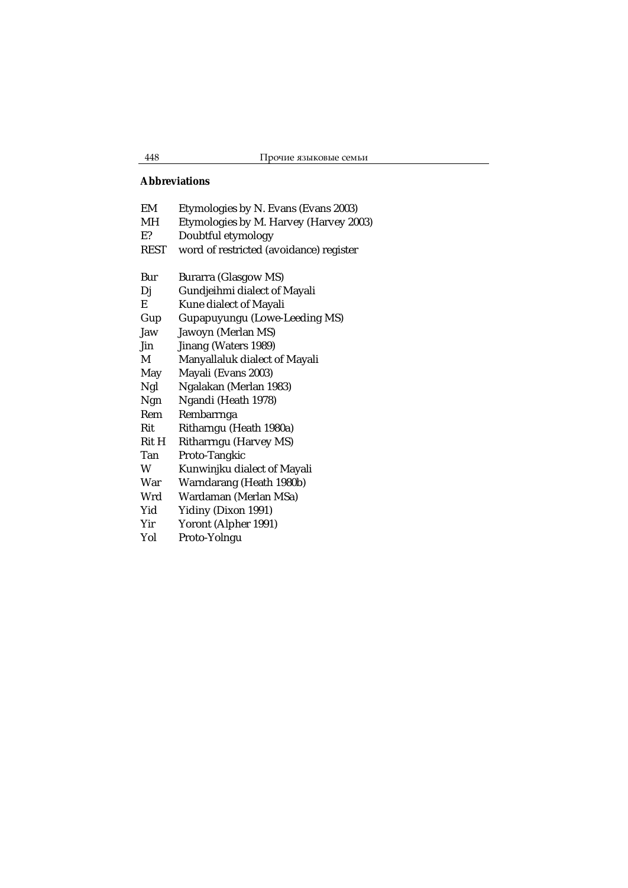# **Abbreviations**

| EM          | Etymologies by N. Evans (Evans 2003)    |
|-------------|-----------------------------------------|
| MН          | Etymologies by M. Harvey (Harvey 2003)  |
| E?          | Doubtful etymology                      |
| <b>REST</b> | word of restricted (avoidance) register |
|             |                                         |
| Bur         | <b>Burarra (Glasgow MS)</b>             |
| Dj          | <b>Gundjeihmi dialect of Mayali</b>     |
| E           | <b>Kune dialect of Mayali</b>           |
| Gup         | <b>Gupapuyungu (Lowe-Leeding MS)</b>    |
| Jaw         | Jawoyn (Merlan MS)                      |
| Jin         | Jinang (Waters 1989)                    |
| M           | Manyallaluk dialect of Mayali           |
| May         | Mayali (Evans 2003)                     |
| Ngl         | Ngalakan (Merlan 1983)                  |
| Ngn         | Ngandi (Heath 1978)                     |
| Rem         | Rembarrnga                              |
| <b>Rit</b>  | Ritharngu (Heath 1980a)                 |
| Rit H       | <b>Ritharrngu (Harvey MS)</b>           |
| Tan         | Proto-Tangkic                           |
| W           | Kunwinjku dialect of Mayali             |
| War         | <b>Warndarang (Heath 1980b)</b>         |
| Wrd         | Wardaman (Merlan MSa)                   |
| Yid         | <b>Yidiny (Dixon 1991)</b>              |
| Yir         | Yoront (Alpher 1991)                    |
|             |                                         |

Yol Proto-Yolngu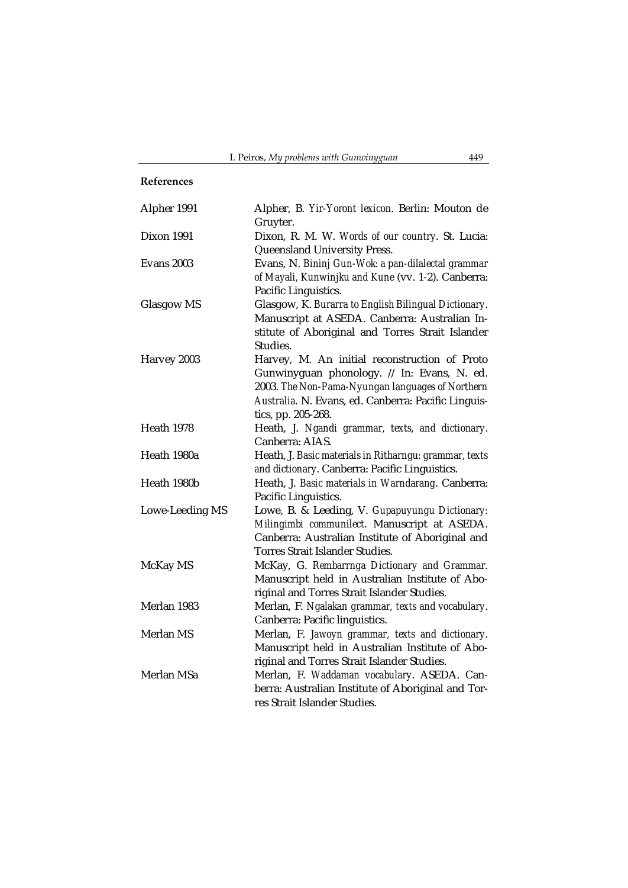| References             |                                                                                                                                                                                                                               |
|------------------------|-------------------------------------------------------------------------------------------------------------------------------------------------------------------------------------------------------------------------------|
| Alpher 1991            | Alpher, B. Yir-Yoront lexicon. Berlin: Mouton de<br>Gruyter.                                                                                                                                                                  |
| Dixon 1991             | Dixon, R. M. W. Words of our country. St. Lucia:<br><b>Queensland University Press.</b>                                                                                                                                       |
| <b>Evans 2003</b>      | Evans, N. Bininj Gun-Wok a pan-dilalectal grammar<br>of Mayali, Kunwinjku and Kune (vv. 1-2). Canberra:<br>Pacific Linguistics.                                                                                               |
| <b>Glasgow MS</b>      | Glasgow, K. Burarra to English Bilingual Dictionary.<br>Manuscript at ASEDA. Canberra: Australian In-<br>stitute of Aboriginal and Torres Strait Islander<br>Studies.                                                         |
| Harvey 2003            | Harvey, M. An initial reconstruction of Proto<br>Gunwinyguan phonology. // In: Evans, N. ed.<br>2003. The Non-Pama-Nyungan languages of Northern<br>Australia. N. Evans, ed. Canberra: Pacific Linguis-<br>tics, pp. 205-268. |
| Heath 1978             | Heath, J. Ngandi grammar, texts, and dictionary.<br>Canberra: AIAS.                                                                                                                                                           |
| Heath 1980a            | Heath, J. Basic materials in Ritharngu: grammar, texts<br>and dictionary. Canberra: Pacific Linguistics.                                                                                                                      |
| Heath 1980b            | Heath, J. Basic materials in Warndarang. Canberra:<br>Pacific Linguistics.                                                                                                                                                    |
| <b>Lowe-Leeding MS</b> | Lowe, B. & Leeding, V. Gupapuyungu Dictionary:<br>Milingimbi communilect. Manuscript at ASEDA.<br>Canberra: Australian Institute of Aboriginal and<br><b>Torres Strait Islander Studies.</b>                                  |
| <b>McKay MS</b>        | McKay, G. Rembarrnga Dictionary and Grammar.<br>Manuscript held in Australian Institute of Abo-<br>riginal and Torres Strait Islander Studies.                                                                                |
| Merlan 1983            | Merlan, F. Ngalakan grammar, texts and vocabulary.<br>Canberra: Pacific linguistics.                                                                                                                                          |
| <b>Merlan MS</b>       | Merlan, F. Jawoyn grammar, texts and dictionary.<br>Manuscript held in Australian Institute of Abo-<br>riginal and Torres Strait Islander Studies.                                                                            |
| <b>Merlan MSa</b>      | Merlan, F. Waddaman vocabulary. ASEDA. Can-<br>berra: Australian Institute of Aboriginal and Tor-<br>res Strait Islander Studies.                                                                                             |